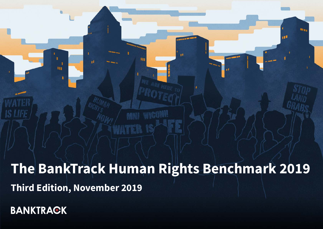# **The BankTrack Human Rights Benchmark 2019 Third Edition, November 2019**

ü

**BANKTRACK** 

3Í

**The**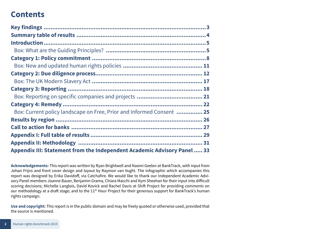# **Contents**

| Box: Current policy landscape on Free, Prior and Informed Consent  25    |
|--------------------------------------------------------------------------|
|                                                                          |
|                                                                          |
|                                                                          |
|                                                                          |
| Appendix III: Statement from the Independent Academic Advisory Panel  33 |

**Acknowledgements:** This report was written by Ryan Brightwell and Naomi Geelen at BankTrack, with input from Johan Frijns and front cover design and layout by Raymon van Vught. The infographic which accompanies this report was designed by Erika Davidoff, via Catchafire. We would like to thank our Independent Academic Advisory Panel members Joanne Bauer, Benjamin Grama, Chiara Macchi and Kym Sheehan for their input into difficult scoring decisions; Michelle Langlois, David Kovick and Rachel Davis at Shift Project for providing comments on our methodology at a draft stage; and to the 11<sup>th</sup> Hour Project for their generous support for BankTrack's human rights campaign.

**Use and copyright:** This report is in the public domain and may be freely quoted or otherwise used, provided that the source is mentioned.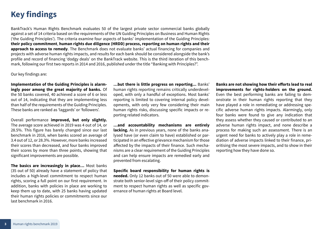# <span id="page-2-0"></span>**Key findings**

BankTrack's Human Rights Benchmark evaluates 50 of the largest private sector commercial banks globally against a set of 14 criteria based on the requirements of the UN Guiding Principles on Business and Human Rights ('the Guiding Principles'). The criteria examine four aspects of banks' implementation of the Guiding Principles: **their policy commitment**, **human rights due diligence (HRDD) process, reporting on human rights and their approach to access to remedy**. The Benchmark does not evaluate banks' actual financing for companies and projects with adverse human rights impacts, and results for each bank should be considered alongside the bank's profile and record of financing 'dodgy deals' on the BankTrack website. This is the third iteration of this benchmark, following our first two reports in 2014 and 2016, published under the title "Banking with Principles?".

Our key findings are:

**Implementation of the Guiding Principles is alarmingly poor among the great majority of banks.** Of the 50 banks covered, 40 achieved a score of 6 or less out of 14, indicating that they are implementing less than half of the requirements of the Guiding Principles. These banks are ranked as 'laggards' or 'followers'.

Overall performance **improved, but only slightly.**  The average score achieved in 2019 was 4 out of 14, or 28.5%. This figure has barely changed since our last benchmark in 2016, when banks scored an average of 3.4 out of 12, or 28.3%. However, more banks increased their scores than decreased, and four banks improved their scores by more than three points, showing that significant improvements are possible.

**The basics are increasingly in place…** Most banks (35 out of 50) already have a statement of policy that includes a high-level commitment to respect human rights, scoring a full point on our first requirement. In addition, banks with policies in place are working to keep them up to date, with 25 banks having updated their human rights policies or commitments since our last benchmark in 2016.

**…but there is little progress on reporting...** Banks' human rights reporting remains critically underdeveloped, with only a handful of exceptions. Most banks' reporting is limited to covering internal policy developments, with only very few considering their main human rights risks, discussing specific impacts or reporting related indicators.

**…and accountability mechanisms are entirely lacking.** As in previous years, none of the banks analysed have (or even claim to have) established or participated in an effective grievance mechanism for those affected by the impacts of their finance. Such mechanisms are a clear requirement of the Guiding Principles and can help ensure impacts are remedied early and prevented from escalating.

**Specific board responsibility for human rights is needed.** Only 12 banks out of 50 were able to demonstrate both senior-level sign-off of their policy commitment to respect human rights as well as specific governance of human rights at Board level.

**Banks are not showing how their efforts lead to real improvements for rights-holders on the ground.** Even the best performing banks are failing to demonstrate in their human rights reporting that they have played a role in remediating or addressing specific adverse human rights impacts. Alarmingly, only four banks were found to give any indication that they assess whether they caused or contributed to an adverse human rights impact, and none describe a process for making such an assessment. There is an urgent need for banks to actively play a role in remediation of adverse impacts linked to their finance, prioritising the most severe impacts, and to show in their reporting how they have done so.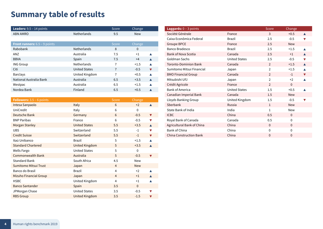# <span id="page-3-0"></span>**Summary table of results**

| <b>Leaders:</b> $9.5 - 14$ points  |                      | Score          | Change      |                      |
|------------------------------------|----------------------|----------------|-------------|----------------------|
| <b>ABN AMRO</b>                    | Netherlands          | 9.5            | <b>New</b>  |                      |
|                                    |                      |                |             |                      |
| Front runners: 6.5 - 9 points      |                      | Score          | Change      |                      |
| Rabobank                           | <b>Netherlands</b>   | 8              | $\Omega$    |                      |
| ANZ                                | Australia            | 7.5            | $+1$        |                      |
| <b>BBVA</b>                        | Spain                | 7.5            | $+4$        |                      |
| <b>ING Group</b>                   | <b>Netherlands</b>   | $\overline{1}$ | $+1.5$      |                      |
| Citi                               | <b>United States</b> | $\overline{7}$ | $-0.5$      | $\blacktriangledown$ |
| <b>Barclays</b>                    | United Kingdom       | 7              | $+0.5$      |                      |
| National Australia Bank            | Australia            | 6.5            | $+3.5$      |                      |
| Westpac                            | Australia            | 6.5            | $+1.5$      |                      |
| Nordea Bank                        | Finland              | 6.5            | $+0.5$      |                      |
|                                    |                      |                |             |                      |
| <b>Followers:</b> $3.5 - 6$ points |                      | Score          | Change      |                      |
| Intesa Sanpaolo                    | <b>Italy</b>         | 6              | $+2$        |                      |
| UniCredit                          | Italy                | 6              | $\mathbf 0$ |                      |
|                                    |                      |                |             |                      |

| UniCredit                    | Italy                 | 6              | $\Omega$     |                      |
|------------------------------|-----------------------|----------------|--------------|----------------------|
| Deutsche Bank                | Germany               | 6              | $-0.5$       | $\blacktriangledown$ |
| <b>BNP Paribas</b>           | France                | 6              | $-0.5$       |                      |
| Morgan Stanley               | <b>United States</b>  | 5.5            | $+3.5$       |                      |
| <b>UBS</b>                   | Switzerland           | 5.5            | $-1$         | V                    |
| <b>Credit Suisse</b>         | Switzerland           | 5.5            | $-1$         | $\blacktriangledown$ |
| Itaú Unibanco                | <b>Brazil</b>         | 5              | $+1.5$       |                      |
| <b>Standard Chartered</b>    | <b>United Kingdom</b> | 5              | $+3.5$       | $\blacktriangle$     |
| Wells Fargo                  | <b>United States</b>  | 5              | $\mathbf{0}$ |                      |
| <b>Commonwealth Bank</b>     | Australia             | 5              | $-0.5$       |                      |
| <b>Standard Bank</b>         | South Africa          | 4.5            | New          |                      |
| <b>Sumitomo Mitsui Trust</b> | Japan                 | $\overline{4}$ | <b>New</b>   |                      |
| Banco do Brasil              | <b>Brazil</b>         | $\overline{4}$ | $+2$         |                      |
| Mizuho Financial Group       | Japan                 | $\overline{4}$ | $+1$         |                      |
| <b>HSBC</b>                  | United Kingdom        | $\overline{4}$ | $+1$         |                      |
| <b>Banco Santander</b>       | Spain                 | 3.5            | $\Omega$     |                      |
| JPMorgan Chase               | <b>United States</b>  | 3.5            | $-0.5$       |                      |
| <b>RBS Group</b>             | <b>United Kingdom</b> | 3.5            | $-1.5$       |                      |

| <b>Laggards:</b> $0 - 3$ points |                      | Score          | Change       |   |
|---------------------------------|----------------------|----------------|--------------|---|
| Société Générale                | France               | 3              | $+0.5$       |   |
| Caixa Econômica Federal         | Brazil               | 2.5            | $-0.5$       |   |
| <b>Groupe BPCE</b>              | France               | 2.5            | <b>New</b>   |   |
| Banco Bradesco                  | <b>Brazil</b>        | 2.5            | $+1.5$       |   |
| <b>Bank of Nova Scotia</b>      | Canada               | 2.5            | $+1$         |   |
| Goldman Sachs                   | <b>United States</b> | 2.5            | $-0.5$       | v |
| <b>Toronto-Dominion Bank</b>    | Canada               | $\overline{2}$ | $+1.5$       |   |
| Sumitomo Mitsui Financial       | Japan                | $\overline{2}$ | $+1.5$       |   |
| <b>BMO Financial Group</b>      | Canada               | $\overline{2}$ | $-1$         |   |
| Mitsubishi UEJ                  | Japan                | $\overline{2}$ | $+2$         |   |
| Crédit Agricole                 | France               | $\overline{2}$ | $\Omega$     |   |
| <b>Bank of America</b>          | <b>United States</b> | 1.5            | $+0.5$       |   |
| Canadian Imperial Bank          | Canada               | 1.5            | <b>New</b>   |   |
| Lloyds Banking Group            | United Kingdom       | 1.5            | $-0.5$       |   |
| Sberbank                        | Russia               | $\mathbf{1}$   | <b>New</b>   |   |
| State Bank of India             | India                | $\mathbf{1}$   | <b>New</b>   |   |
| <b>ICBC</b>                     | China                | 0.5            | $\Omega$     |   |
| Royal Bank of Canada            | Canada               | 0.5            | $\mathbf{0}$ |   |
| Agricultural Bank of China      | China                | $\Omega$       | $\Omega$     |   |
| Bank of China                   | China                | $\mathbf{0}$   | $\mathbf 0$  |   |
| <b>China Construction Bank</b>  | China                | $\mathbf{0}$   | $\mathbf{0}$ |   |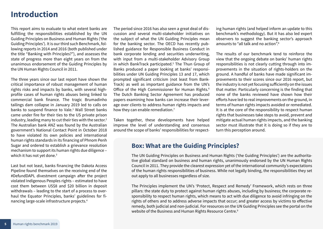### <span id="page-4-0"></span>**Introduction**

This report aims to evaluate to what extent banks are fulfilling the responsibilities established by the UN Guiding Principles on Business and Human Rights ('the Guiding Principles'). It is our third such Benchmark, following reports in 2014 and 2016 (both published under the title "Banking with Principles?"), and assesses the state of progress more than eight years on from the unanimous endorsement of the Guiding Principles by the UN Human Rights Council in 2011.

The three years since our last report have shown the critical importance of robust management of human rights risks and impacts by banks, with several highprofile cases of human rights abuses being linked to commercial bank finance. The tragic Brumadinho tailings dam collapse in January 2019 led to calls on banks to suspend finance to Vale.<sup>1</sup> Wall Street banks came under fire for their ties to the US private prison industry, leading many to cut their ties with the sector.<sup>2</sup> The Australian bank ANZ was found by the Australian government's National Contact Point in October 2018 to have violated its own policies and international human rights standards in its financing of Phnom Penh Sugar and ordered to establish a grievance resolution mechanism to support its human rights due diligence – which it has not yet done.<sup>3</sup>

Last but not least, banks financing the Dakota Access Pipeline found themselves on the receiving end of the #DefundDAPL divestment campaign after the project violated Indigenous Peoples rights – estimated to have cost them between US\$8 and \$20 billion in deposit withdrawals – leading to the start of a process to overhaul the Equator Principles, banks' guidelines for financing large-scale infrastructure projects.<sup>4</sup>

The period since 2016 has also seen a great deal of discussion and several multi-stakeholder initiatives on the subject of what the UN Guiding Principles mean for the banking sector. The OECD has recently published guidance for Responsible Business Conduct in bank corporate lending and securities underwriting, with input from a multi-stakeholder Advisory Group in which BankTrack participated.<sup>5</sup> The Thun Group of Banks produced a paper looking at banks' responsibilities under UN Guiding Principles 13 and 17, which prompted significant criticism (not least from Bank-Track) as well as important guidance from the UN's Office of the High Commissioner for Human Rights.<sup>6</sup> The Dutch Banking Sector Agreement has produced papers examining how banks can increase their leverage over clients to address human rights impacts and how they can enable remediation.<sup>7</sup>

Taken together, these developments have helped improve the level of understanding and consensus around the scope of banks' responsibilities for respecting human rights (and helped inform an update to this benchmark's methodology). But it has also led expert observers to suggest the banking sector's approach amounts to "all talk and no action".8

The results of our benchmark tend to reinforce the view that the ongoing debate on banks' human rights responsibilities is not clearly cutting through into improvements in the situation of rights-holders on the ground. A handful of banks have made significant improvements to their scores since our 2016 report, but the industry is not yet focusing sufficiently on the issues that matter. Particularly concerning is the finding that none of the banks reviewed have shown how their efforts have led to real improvements on the ground, in terms of human rights impacts avoided or remediated. It is at the core of the responsibility to respect human rights that businesses take steps to avoid, prevent and mitigate actual human rights impacts, and the banking sector must illustrate that it is doing so if they are to turn this perception around.

#### **Box: What are the Guiding Principles?**

The UN Guiding Principles on Business and Human Rights ('the Guiding Principles') are the authoritative global standard on business and human rights, unanimously endorsed by the UN Human Rights Council in 2011. They provide the clearest expression yet of the international community's expectations of the human rights responsibilities of business. While not legally binding, the responsibilities they set out apply to all businesses regardless of size.

The Principles implement the UN's 'Protect, Respect and Remedy' Framework, which rests on three pillars: the state duty to protect against human rights abuses, including by business; the corporate responsibility to respect human rights, which means to act with due diligence to avoid infringing on the rights of others and to address adverse impacts that occur; and greater access by victims to effective remedy, both judicial and non-judicial. For resources on the UN Guiding Principles see the portal on the website of the Business and Human Rights Resource Centre.<sup>9</sup>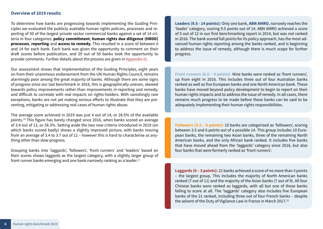#### **Overview of 2019 results**

To determine how banks are progressing towards implementing the Guiding Principles we evaluated the publicly available human rights policies, processes and reporting of 50 of the largest private sector commercial banks against a set of 14 criteria in four categories: **policy commitment**, **human rights due diligence (HRDD) processes**, **reporting** and **access to remedy.** This resulted in a score of between 0 and 14 for each bank. Each bank was given the opportunity to comment on their draft scores before publication, and 29 out of 50 banks took the opportunity to provide comments. Further details about the process are given in [Appendix III](#page-30-1).

Our assessment shows that implementation of the Guiding Principles, eight years on from their unanimous endorsement from the UN Human Rights Council, remains alarmingly poor among the great majority of banks. Although there are some signs of progress since our last benchmark in 2016, this is geographically uneven, skewed towards policy improvements rather than improvements in reporting and remedy, and difficult to correlate with real impacts on rights-holders. With vanishingly rare exceptions, banks are not yet making serious efforts to illustrate that they are preventing, mitigating or addressing real cases of human rights abuse.

The average score achieved in 2019 was just 4 out of 14, or 28.5% of the available points.10 This figure has barely changed since 2016, when banks scored an average of 3.4 out of 12, or 28.3%. Setting aside the two new criteria introduced in 2019 (on which banks scored badly) shows a slightly improved picture, with banks moving from an average of 3.4 to 3.7 out of 12 – however this is hard to characterise as anything other than slow progress.

Grouping banks into 'laggards', 'followers', 'front runners' and 'leaders' based on their scores shows laggards as the largest category, with a slightly larger group of front runner banks emerging and one bank narrowly ranking as a leader.<sup>11</sup>

**Leaders (9.5 - 14 points):** Only one bank, **ABN AMRO**, narrowly reaches the 'leader' category, scoring 9.5 points out of 14. ABN AMRO achieved a score of 5 out of 12 in our first benchmarking report in 2014, but was not ranked in 2016. The bank scored full points for its policy approach, has the most advanced human rights reporting among the banks ranked, and is beginning to address the issue of remedy, although there is much scope for further progress.

**Front runners (6.5 – 9 points)**: Nine banks were ranked as 'front runners', up from eight in 2016. This includes three out of four Australian banks ranked as well as five European banks and one North American bank. These banks have moved beyond policy development to begin to report on their human rights impacts and to address the issue of remedy. In all cases, there remains much progress to be made before these banks can be said to be adequately implementing their human rights responsibilities.

**Followers (3.5 – 6 points):** 19 banks are categorised as 'followers', scoring between 3.5 and 6 points out of a possible 14. This group includes 10 European banks, the remaining two Asian banks, three of the remaining North American banks, and the only African bank ranked. It includes five banks that have moved ahead from the 'laggards' category since 2016, but also four banks that were formerly ranked as 'front runners'.

**Laggards (0 – 3 points):** 21 banks achieved a score of no more than 3 points – the largest group. This includes the majority of North American banks ranked (7 out of 11) and the majority of the Asian banks (7 out of 9). All four Chinese banks were ranked as laggards, with all but one of these banks failing to score at all. The 'laggards' category also includes five European banks of the 21 ranked, including three out of four French banks – despite the advent of the Duty of Vigilance Law in France in March 2017.12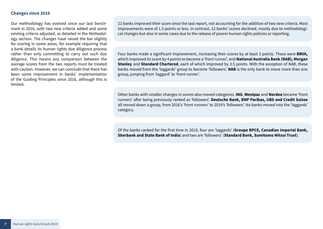#### **Changes since 2016**

Our methodology has evolved since our last benchmark in 2016, with two new criteria added and some existing criteria adjusted, as detailed in the Methodology section. The changes have raised the bar slightly for scoring in some areas, for example requiring that a bank details its human rights due diligence process rather than only committing to carry out such due diligence. This means any comparison between the average scores from the two reports must be treated with caution. However, we can conclude that there has been some improvement in banks' implementation of the Guiding Principles since 2016, although this is limited.

21 banks improved their score since the last report, not accounting for the addition of two new criteria. Most improvements were of 1.5 points or less. In contrast, 12 banks' scores declined, mostly due to methodological changes but also in some cases due to the release of poorer human rights policies or reporting.

Four banks made a significant improvement, increasing their scores by at least 3 points. These were **BBVA,**  which improved its score by 4 points to become a 'front runner', and **National Australia Bank (NAB), Morgan Stanley** and **Standard Chartered**, each of which improved by 3.5 points. With the exception of NAB, these banks moved from the 'laggards' group to become 'followers'. **NAB** is the only bank to move more than one group, jumping from 'laggard' to 'front runner'.

Other banks with smaller changes in scores also moved categories. **ING**, **Westpac** and **Nordea** became 'front runners' after being previously ranked as 'followers'. **Deutsche Bank, BNP Paribas, UBS and Credit Suisse**  all moved down a group, from 2016's 'front runners' to 2019's 'followers'. No banks moved into the 'laggards' category.

Of the banks ranked for the first time in 2019, four are 'laggards' (**Groupe BPCE, Canadian Imperial Bank, Sberbank and State Bank of India**) and two are 'followers' (**Standard Bank, Sumitomo Mitsui Trust**).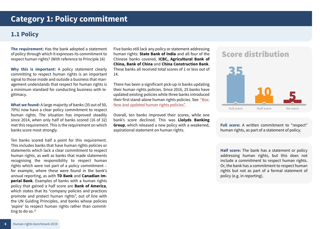### <span id="page-7-0"></span>**1.1 Policy**

**The requirement:** Has the bank adopted a statement of policy through which it expresses its commitment to respect human rights? (With reference to Principle 16)

**Why this is important:** A policy statement clearly committing to respect human rights is an important signal to those inside and outside a business that management understands that respect for human rights is a minimum standard for conducting business with legitimacy.

**What we found:** A large majority of banks (35 out of 50, 70%) now have a clear policy commitment to respect human rights. The situation has improved steadily since 2014, when only half of banks scored (16 of 32) met this requirement. This is the requirement on which banks score most strongly.

Ten banks scored half a point for this requirement. This includes banks that have human rights policies or statements which lack a clear commitment to respect human rights, as well as banks that made statements recognising the responsibility to respect human rights which were not part of a policy commitment – for example, where these were found in the bank's annual reporting, as with **TD Bank** and **Canadian Imperial Bank**. Examples of banks with a human rights policy that gained a half score are **Bank of America**, which states that its "company policies and practices promote and protect human rights", out of line with the UN Guiding Principles, and banks whose policies 'aspire' to respect human rights rather than committing to do so. $13$ 

Five banks still lack any policy or statement addressing human rights: **State Bank of India** and all four of the Chinese banks covered, **ICBC, Agricultural Bank of China, Bank of China** and **China Construction Bank**. These banks all received total scores of 1 or less out of 14.

There has been a significant pick-up in banks updating their human rights policies. Since 2016, 25 banks have updated existing policies while three banks introduced their first stand-alone human rights policies. See ["Box:](#page-10-1) [New and updated human rights policies"](#page-10-1).

Overall, ten banks improved their scores, while one bank's score declined. This was **Llolyds Banking Group**, which released a new policy with a weakened, aspirational statement on human rights.

# **Score distribution**



**Full score:** A written commitment to "respect" human rights, as part of a statement of policy.

**Half score:** The bank has a statement or policy addressing human rights, but this does not include a commitment to respect human rights. Or, the bank has a commitment to respect human rights but not as part of a formal statement of policy (e.g. in reporting).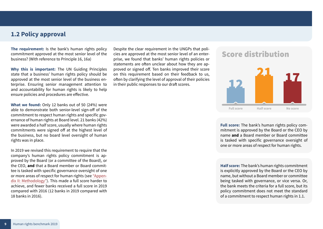#### **1.2 Policy approval**

**The requirement:** Is the bank's human rights policy commitment approved at the most senior level of the business? (With reference to Principle 16, 16a)

**Why this is important:** The UN Guiding Principles state that a business' human rights policy should be approved at the most senior level of the business enterprise. Ensuring senior management attention to and accountability for human rights is likely to help ensure policies and procedures are effective.

**What we found:** Only 12 banks out of 50 (24%) were able to demonstrate both senior-level sign-off of the commitment to respect human rights and specific governance of human rights at Board level. 21 banks (42%) were awarded a half score, usually where human rights commitments were signed off at the highest level of the business, but no board level oversight of human rights was in place.

In 2019 we revised this requirement to require that the company's human rights policy commitment is approved by the Board (or a committee of the Board), or the CEO, **and** that a Board member or Board committee is tasked with specific governance oversight of one or more areas of respect for human rights (see ["Appen](#page-30-1)[dix II: Methodology"](#page-30-1)). This made a full score harder to achieve, and fewer banks received a full score in 2019 compared with 2016 (12 banks in 2019 compared with 18 banks in 2016).

Despite the clear requirement in the UNGPs that policies are approved at the most senior level of an enterprise, we found that banks' human rights policies or statements are often unclear about how they are approved or signed off. Ten banks improved their score on this requirement based on their feedback to us, often by clarifying the level of approval of their policies in their public responses to our draft scores.

### **Score distribution**



**Full score:** The bank's human rights policy commitment is approved by the Board or the CEO by name **and** a Board member or Board committee is tasked with specific governance oversight of one or more areas of respect for human rights.

**Half score:** The bank's human rights commitment is explicitly approved by the Board or the CEO by name, but without a Board member or committee being tasked with governance, or vice versa. Or, the bank meets the criteria for a full score, but its policy commitment does not meet the standard of a commitment to respect human rights in 1.1.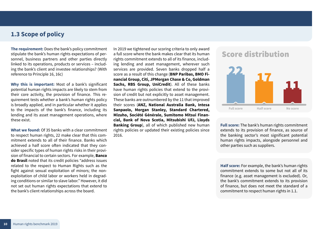### **1.3 Scope of policy**

**The requirement:** Does the bank's policy commitment stipulate the bank's human rights expectations of personnel, business partners and other parties directly linked to its operations, products or services – including the bank's client and investee relationships? (With reference to Principle 16, 16c)

**Why this is important:** Most of a bank's significant potential human rights impacts are likely to stem from their core activity, the provision of finance. This requirement tests whether a bank's human rights policy is broadly applied, and in particular whether it applies to the impacts of the bank's finance, including its lending and its asset management operations, where these exist.

**What we found:** Of 35 banks with a clear commitment to respect human rights, 22 make clear that this commitment extends to all of their finance. Banks which achieved a half score often indicated that they consider specific types of human rights risks in their provision of financial to certain sectors. For example, **Banco do Brasil** noted that its credit policies "address issues related to the respect to Human Rights such as the fight against sexual exploitation of minors; the nonexploitation of child labor or workers held in degrading conditions or similar to slave labor." However, it did not set out human rights expectations that extend to the bank's client relationships across the board.

In 2019 we tightened our scoring criteria to only award a full score where the bank makes clear that its human rights commitment extends to all of its finance, including lending and asset management, wherever such services are provided. Seven banks dropped half a score as a result of this change (**BNP Paribas, BMO Financial Group, Citi, JPMorgan Chase & Co, Goldman Sachs, RBS Group, UniCredit**). All of these banks have human rights policies that extend to the provision of credit but not explicitly to asset management. These banks are outnumbered by the 11 that improved their scores (**ANZ, National Australia Bank, Intesa Sanpaolo, Morgan Stanley, Standard Chartered, Mizuho, Société Générale, Sumitomo Mitsui Financial, Bank of Nova Scotia, Mitsubishi UFJ, Lloyds Banking Group**), all of which published new human rights policies or updated their existing policies since 2016.

### **Score distribution**



**Full score:** The bank's human rights commitment extends to its provision of finance, as source of the banking sector's most significant potential human rights impacts, alongside personnel and other parties such as suppliers.

**Half score:** For example, the bank's human rights commitment extends to some but not all of its finance (e.g. asset management is excluded). Or, the bank's commitment extends to its provision of finance, but does not meet the standard of a commitment to respect human rights in 1.1.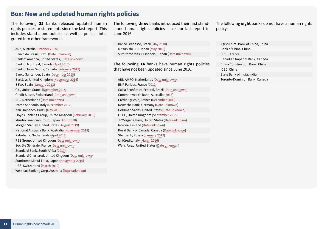#### <span id="page-10-1"></span><span id="page-10-0"></span>**Box: New and updated human rights policies**

The following **25** banks released updated human rights policies or statements since the last report. This includes stand-alone policies as well as policies integrated into other frameworks.

ANZ, Australia ([October 2018](https://www.anz.com.au/content/dam/anzcomau/documents/pdf/aboutus/wcmmigration/human-rights-app.pdf)) Banco do Brasil, Brazil ([Date unknown\)](https://www.bb.com.br/docs/pub/siteEsp/uds/dwn/CompEng.pdf) Bank of America, United States, ([Date unknown\)](https://about.bankofamerica.com/assets/pdf/human-rights-statement.pdf) Bank of Montreal, Canada ([April 2017](https://www.bmo.com/cr/files/BMOHumanRightsApril2017.pdf)) Bank of Nova Scotia, Canada ([February 2019](https://www.scotiabank.com/ca/common/pdf/about_scotia/Scotiabank_Human_Rights_Statement.pdf)) Banco Santander, Spain [\(December 2018](https://www.santander.com/csgs/Satellite/CFWCSancomQP01/en_GB/pdf/human_rights_policy.pdf)) Barclays, United Kingdom ([November 2016](https://home.barclays/content/dam/home-barclays/documents/citizenship/the-way-we-do-business/Human_Rights_Statement_November_2016vF.pdf)) BBVA, Spain [\(January 2018](https://shareholdersandinvestors.bbva.com/wp-content/uploads/2018/02/Commitment-to-Human-Rights.pdf)) Citi, United States [\(November 2018](https://www.citigroup.com/citi/citizen/data/citi_statement_on_human_rights.pdf)) Credit Suisse, Switzerland ([Date unknown\)](https://www.credit-suisse.com/media/assets/corporate/docs/about-us/responsibility/banking/human-rights-statement-en.pdf) ING, Netherlands ([Date unknown\)](https://www.ing.com/Sustainability/Sustainable-business/Human-Rights.htm) Intesa Sanpaolo, Italy ([December 2017](https://www.group.intesasanpaolo.com/scriptIsir0/si09/contentData/view/Policy_diritti_umani_eng.pdf?id=CNT-05-00000004F4564&ct=application/pdf)) Itaú Unibanco, Brazil ([May 2019](https://www.itau.com.br/_arquivosestaticos/Itau/PDF/Sustentabilidade/Human_Rights_Commitment_Eng.pdf)) Lloyds Banking Group, United Kingdom [\(February 2018](https://www.lloydsbankinggroup.com/globalassets/our-group/responsible-business/reporting-centre/humanrightspolicystatement-180222.pdf)) Mizuho Financial Group, Japan ([April 2018](https://www.mizuho-fg.com/csr/human/respect/index.html)) Morgan Stanley, United States ([August 2019](https://www.morganstanley.com/about-us-governance/pdf/human_rights_statement.pdf)) National Australia Bank, Australia ([November 2018](https://www.nab.com.au/content/dam/nabrwd/documents/policy/corporate/human-rights-policy.pdf)) Rabobank, Netherlands ([April 2018](https://www.rabobank.com/en/images/sustainability-policy-framework.pdf)) RBS Group, United Kingdom ([Date unknown](https://www.rbs.com/content/dam/rbs_com/rbs/PDFs/Sustainability/Downloads/Human-Rights-Statement.pdf)) Société Générale, France ([Date unknown\)](https://www.societegenerale.com/csr-report/11-droits-humains.html) Standard Bank, South Africa ([2017](https://www.standardbank.com/pages/StandardBankGroup/web/Human%20Rights%20Statement%20PDF.pdf)) Standard Chartered, United Kingdom ([Date unknown](https://av.sc.com/corp-en/content/docs/human-rights-position-statement-sustainability-standard-chartered.pdf)) Sumitomo Mitsui Trust, Japan [\(November 2016](https://www.smth.jp/en/csr/management/human_rights_policy/index.html)) UBS, Switzerland [\(March 2019](https://www.ubs.com/global/en/ubs-society/our-documents/_jcr_content/mainpar/toplevelgrid/col1/tabteaser/innergrid_1637709579/xcol3/teaser/linklist/link_731997085.1797267410.file/bGluay9wYXRoPS9jb250ZW50L2RhbS91YnMvZ2xvYmFsL3Vicy1zb2NpZXR5L3Vicy1lc3ItZnJhbWV3b3JrLW1hcmNoLTIwMTktZW4ucGRm/ubs-esr-framework-march-2019-en.pdf)) Westpac Banking Corp, Australia ([Date unknown](https://www.westpac.com.au/content/dam/public/wbc/documents/pdf/aw/sustainability/Human_Rights_Position_Statement.pdf))

The following **three** banks introduced their first standalone human rights policies since our last report in June 2016:

Banco Bradesco, Brazil [\(May 2018](https://www.bradescosustentabilidade.com.br/site/uploads/secao/Corporate%20Policy%20on%20Human%20Rights.pdf)) Mitsubishi UFJ, Japan [\(May 2018](https://www.mufg.jp/english/csr/policy/index.html)) Sumitomo Mitsui Financial, Japan ([Date unknown\)](https://www.smfg.co.jp/english/responsibility/organization/forrights/resources/pdf/Statement_on_Human_Rights_e.pdf)

The following **14** banks have human rights policies that have not been updated since June 2016:

ABN AMRO, Netherlands ([Date unknown\)](https://www.abnamro.com/en/images/010_About_ABN_AMRO/030_In_society/010_Sustainability/Links_en_documenten/Documenten/Beleid_-_Human_Rights_Statement_EN.pdf) BNP Paribas, France ([2012](https://group.bnpparibas/uploads/file/uk_declaration_bnp_sur_droit_de_l_homme.pdf)) Caixa Econômica Federal, Brazil ([Date unknown](https://www.caixa.gov.br/Downloads/sustentabilidade/Caixas_social_environmental_responsibility_policy_prsa.pdf)) Commonwealth Bank, Australia [\(2015](https://www.banktrack.org/download/sustainability_20151103_human_rights_position_statement_1_pdf/sustainability20151103humanrightspositionstatement_commbank.pdf)) Crédit Agricole, France ([December 2009](https://www.credit-agricole.com/en/finance/finance/press-releases/credit-agricole-s.a.-group-evidences-commitment-to-human-rights-via-its-human-rights-charter)) Deutsche Bank, Germany [\(Date unknown\)](https://www.db.com/newsroom/en/docs/Deutsche-Bank-Human-Rights-Statement.pdf) Goldman Sachs, United States ([Date unknown\)](https://www.goldmansachs.com/investor-relations/corporate-governance/corporate-governance-documents/human-rights-statement.pdf) HSBC, United Kingdom ([September 2015](https://www.hsbc.com/-/files/hsbc/our-approach/corporate-governance/pdfs/150930-hsbc-statement-on-human-rights.pdf)) JPMorgan Chase, United States ([Date unknown](https://www.jpmorganchase.com/corporate/About-JPMC/ab-human-rights.htm)) Nordea, Finland ([Date unknown](https://www.nordea.com/en/sustainability/sustainability-in-nordea/our-approach/human-rights/)) Royal Bank of Canada, Canada ([Date unknown](http://www.rbc.com/community-sustainability/_assets-custom/pdf/about-working-at-rbc-eng.pdf)) Sberbank, Russia [\(January 2012](https://www.sberbank.com/portalserver/content/atom/contentRepository/content/POLICY_for_Corporate_Social_Responsibility_EN.pdf?id=b5e3d596-f15e-4dc5-9256-809fe288fa71)) UniCredit, Italy ([March 2016](https://www.unicreditgroup.eu/content/dam/unicreditgroup-eu/documents/en/sustainability/our-vision-of-a-sustainable-bank/policies-and-guidelines/Human-Rights-Commitment_vers.1.pdf)) Wells Fargo, United States ([Date unknown\)](https://www.wellsfargo.com/about/corporate/human-rights-statement/)

The following **eight** banks do not have a human rights policy:

Agricultural Bank of China, China Bank of China, China BPCE, France Canadian Imperial Bank, Canada China Construction Bank, China ICBC, China State Bank of India, India Toronto-Dominion Bank, Canada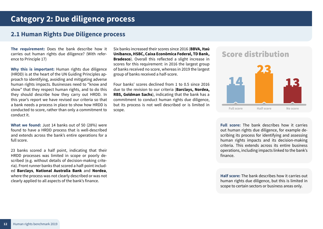### <span id="page-11-0"></span>**Category 2: Due diligence process**

### **2.1 Human Rights Due Diligence process**

**The requirement:** Does the bank describe how it carries out human rights due diligence? (With reference to Principle 17)

**Why this is important:** Human rights due diligence (HRDD) is at the heart of the UN Guiding Principles approach to identifying, avoiding and mitigating adverse human rights impacts. Businesses need to "know and show" that they respect human rights, and to do this they should describe how they carry out HRDD. In this year's report we have revised our criteria so that a bank needs a process in place to show how HRDD is conducted to score, rather than only a commitment to conduct it.

**What we found:** Just 14 banks out of 50 (28%) were found to have a HRDD process that is well-described and extends across the bank's entire operations for a full score.

23 banks scored a half point, indicating that their HRDD processes was limited in scope or poorly described (e.g. without details of decision-making criteria). Front runner banks that scored a half-point included **Barclays**, **National Australia Bank** and **Nordea**, where the process was not clearly described or was not clearly applied to all aspects of the bank's finance.

Six banks increased their scores since 2016 (**BBVA, Itaú Unibanco, HSBC, Caixa Econômica Federal, TD Bank, Bradesco**). Overall this reflected a slight increase in scores for this requirement: in 2016 the largest group of banks received no score, whereas in 2019 the largest group of banks received a half-score.

Four banks' scores declined from 1 to 0.5 since 2016 due to the revision to our criteria (**Barclays, Nordea, RBS, Goldman Sachs**), indicating that the bank has a commitment to conduct human rights due diligence, but its process is not well described or is limited in scope.

# **Score distribution**



**Full score:** The bank describes how it carries out human rights due diligence, for example describing its process for identifying and assessing human rights impacts and its decision-making criteria. This extends across its entire business operations, including impacts linked to the bank's finance.

**Half score:** The bank describes how it carries out human rights due diligence, but this is limited in scope to certain sectors or business areas only.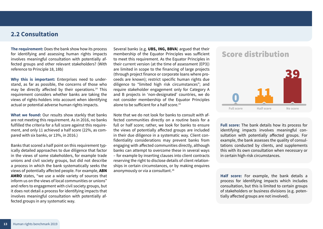#### **2.2 Consultation**

**The requirement:** Does the bank show how its process for identifying and assessing human rights impacts involves meaningful consultation with potentially affected groups and other relevant stakeholders? (With reference to Principle 18, 18b)

**Why this is important:** Enterprises need to understand, as far as possible, the concerns of those who may be directly affected by their operations.<sup>14</sup> This requirement considers whether banks are taking the views of rights-holders into account when identifying actual or potential adverse human rights impacts.

**What we found:** Our results show starkly that banks are not meeting this requirement. As in 2016, no banks fulfilled the criteria for a full score against this requirement, and only 11 achieved a half score (22%, as compared with six banks, or 13%, in 2016.)

Banks that scored a half point on this requirement typically detailed approaches to due diligence that factor in the views of some stakeholders, for example trade unions and civil society groups, but did not describe a process in which the bank systematically seeks the views of potentially affected people. For example, **ABN AMRO** states, "we use a wide variety of sources that inform us on the views of local communities or unions" and refers to engagement with civil society groups, but it does not detail a process for identifying impacts that involves meaningful consultation with potentially affected groups in any systematic way.

Several banks (e.g. **UBS, ING, BBVA**) argued that their membership of the Equator Principles was sufficient to meet this requirement. As the Equator Principles in their current version (at the time of assessment (EP3)) are limited in scope to the financing of large projects (through project finance or corporate loans where proceeds are known); restrict specific human rights due diligence to "limited high risk circumstances"; and require stakeholder engagement only for Category A and B projects in 'non-designated' countries, we do not consider membership of the Equator Principles alone to be sufficient for a half score  $15$ 

Note that we do not look for banks to consult with affected communities directly on a routine basis for a full or half score; rather, we look for banks to ensure the views of potentially affected groups are included in their due diligence in a systematic way. Client confidentiality considerations may prevent banks from engaging with affected communities directly, although banks can attempt to overcome these in several ways – for example by inserting clauses into client contracts reserving the right to disclose details of client relationships in certain circumstances, or by making enquires anonymously or via a consultant.<sup>16</sup>

### **Score distribution**



**Full score:** The bank details how its process for identifying impacts involves meaningful consultation with potentially affected groups. For example, the bank assesses the quality of consultations conducted by clients, and supplements this with its own consultation when necessary or in certain high-risk circumstances.

**Half score:** For example, the bank details a process for identifying impacts which includes consultation, but this is limited to certain groups of stakeholders or business divisions (e.g. potentially affected groups are not involved).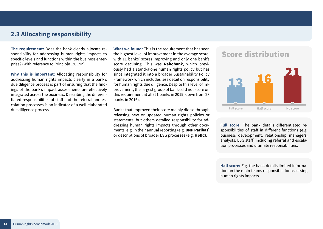#### **2.3 Allocating responsibility**

**The requirement:** Does the bank clearly allocate responsibility for addressing human rights impacts to specific levels and functions within the business enterprise? (With reference to Principle 19, 19a)

**Why this is important:** Allocating responsibility for addressing human rights impacts clearly in a bank's due diligence process is part of ensuring that the findings of the bank's impact assessments are effectively integrated across the business. Describing the differentiated responsibilities of staff and the referral and escalation processes is an indicator of a well-elaborated due diligence process.

**What we found:** This is the requirement that has seen the highest level of improvement in the average score, with 11 banks' scores improving and only one bank's score declining. This was **Rabobank**, which previously had a stand-alone human rights policy but has since integrated it into a broader Sustainability Policy Framework which includes less detail on responsibility for human rights due diligence. Despite this level of improvement, the largest group of banks did not score on this requirement at all (21 banks in 2019, down from 28 banks in 2016).

Banks that improved their score mainly did so through releasing new or updated human rights policies or statements, but others detailed responsibility for addressing human rights impacts through other documents, e.g. in their annual reporting (e.g. **BNP Paribas**) or descriptions of broader ESG processes (e.g. **HSBC**).

### **Score distribution**



**Full score:** The bank details differentiated responsibilities of staff in different functions (e.g. business development, relationship managers, analysts, ESG staff) including referral and escalation processes and ultimate responsibilities.

**Half score:** E.g. the bank details limited information on the main teams responsible for assessing human rights impacts.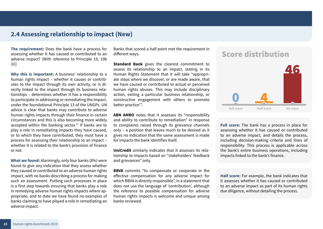#### **2.4 Assessing relationship to impact (New)**

**The requirement:** Does the bank have a process for assessing whether it has caused or contributed to an adverse impact? (With reference to Principle 19, 19b (ii))

**Why this is important:** A business' relationship to a human rights impact – whether it causes or contributes to the impact through its own activity, or is directly linked to the impact through its business relationships – determines whether it has a responsibility to participate in addressing or remediating the impact, under the foundational Principle 13 of the UNGPs. UN advice is clear that banks may contribute to adverse human rights impacts through their finance in certain circumstances and this is also becoming more widely accepted within the banking sector.<sup>17</sup> If banks are to play a role in remediating impacts they have caused, or to which they have contributed, they must have a process for assessing their relationship to an impact – whether it is related to the bank's provision of finance or not.

**What we found:** Alarmingly, only four banks (8%) were found to give any indication that they assess whether they caused or contributed to an adverse human rights impact, with no banks describing a process for making such an assessment. Putting such processes in place is a first step towards ensuring that banks play a role in remedying adverse human rights impacts where appropriate, and to date we have found no examples of banks claiming to have played a role in remediating an adverse impact.

Banks that scored a half point met the requirement in different ways.

**Standard Bank** gives the clearest commitment to assess its relationship to an impact, stating in its Human Rights Statement that it will take "appropriate steps where we discover, or are made aware, that we have caused or contributed to actual or perceived human rights abuses. This may include disciplinary action, exiting a particular business relationship, or constructive engagement with others to promote better practice'".

**ABN AMRO** notes that it assesses its "responsibility and ability to contribute to remediation" in response to complaints raised through its grievance channels only – a position that leaves much to be desired as it gives no indication that the same assessment is made for impacts the bank identifies itself.

**UniCredit** similarly indicates that it assesses its relationship to impacts based on "stakeholders' feedback and grievances" only.

**BBVA** commits "to compensate or cooperate in the effective compensation for any adverse impact for which BBVA is directly responsible", in a statement that does not use the language of 'contribution', although the reference to possible compensation for adverse human rights impacts is welcome and unique among banks reviewed.

### **Score distribution**



**Full score:** The bank has a process in place for assessing whether it has caused or contributed to an adverse impact, and details the process, including decision-making criteria and lines of responsibility. This process is applicable across the bank's entire business operations, including impacts linked to the bank's finance.

**Half score:** For example, the bank indicates that it assesses whether it has caused or contributed to an adverse impact as part of its human rights due diligence, without detailing the process.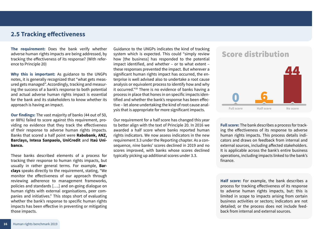#### **2.5 Tracking effectiveness**

**The requirement:** Does the bank verify whether adverse human rights impacts are being addressed, by tracking the effectiveness of its response? (With reference to Principle 20)

**Why this is important:** As guidance to the UNGPs notes, it is generally recognized that "what gets measured gets managed". Accordingly, tracking and measuring the success of a bank's response to both potential and actual adverse human rights impact is essential for the bank and its stakeholders to know whether its approach is having an impact.

**Our findings:** The vast majority of banks (44 out of 50, or 88%) failed to score against this requirement, providing no evidence that they track the effectiveness of their response to adverse human rights impacts. Banks that scored a half point were **Rabobank, ANZ, Barclays, Intesa Sanpaolo, UniCredit** and **Itaú Unibanco.** 

These banks described elements of a process for tracking their response to human rights impacts, but usually in rather general terms. For example, **Barclays** speaks directly to the requirement, stating, "We monitor the effectiveness of our approach through reviewing adherence to management frameworks, policies and standards [….] and on-going dialogue on human rights with external organisations, peer companies and initiatives." This stops short of evaluating whether the bank's response to specific human rights impacts has been effective in preventing or mitigating those impacts.

Guidance to the UNGPs indicates the kind of tracking system which is expected. This could "simply review how [the business] has responded to the potential impact identified, and whether – or to what extent – these responses prevented the impact. But wherever a significant human rights impact has occurred, the enterprise is well advised also to undertake a root cause analysis or equivalent process to identify how and why it occurred."18 There is no evidence of banks having a process in place that hones in on specific impacts identified and whether the bank's response has been effective – let alone undertaking the kind of root cause analysis that is appropriate for more significant impacts.

Our requirement for a half score has changed this year to better align with the text of Principle 20. In 2016 we awarded a half score where banks reported human rights indicators. We now assess indicators in the new requirement 3.3 under the Reporting chapter. As a consequence, nine banks' scores declined in 2019 and no scores improved, with banks whose scores declined typically picking up additional scores under 3.3.





**Full score:** The bank describes a process for tracking the effectiveness of its response to adverse human rights impacts. This process details indicators and draws on feedback from internal and external sources, including affected stakeholders. It is applicable across the bank's entire business operations, including impacts linked to the bank's finance.

**Half score:** For example, the bank describes a process for tracking effectiveness of its response to adverse human rights impacts, but: this is limited in scope to impacts arising from certain business activities or sectors; indicators are not detailed; or the process does not include feedback from internal and external sources.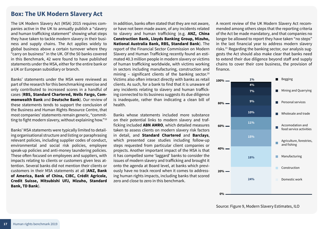#### <span id="page-16-0"></span>**Box: The UK Modern Slavery Act**

The UK Modern Slavery Act (MSA) 2015 requires companies active in the UK to annually publish a "slavery and human trafficking statement" showing what steps they have taken to tackle modern slavery in their business and supply chains. The Act applies widely to global business above a certain turnover where they "carry on business" in the UK. Of the 50 banks covered in this Benchmark, 42 were found to have published statements under the MSA, either for the entire bank or a UK or European subsidiary or branch.

Banks' statements under the MSA were reviewed as part of the research for this benchmarking exercise and only contributed to increased scores in a handful of cases (**RBS, Standard Chartered, Wells Fargo, Commonwealth Bank** and **Deutsche Bank**). Our review of these statements tends to support the conclusion of the Business and Human Rights Resource Centre, that most companies' statements remain generic, "committing to fight modern slavery, without explaining how."19

Banks' MSA statements were typically limited to detailing organisational structure and listing or paraphrasing relevant policies, including supplier codes of conduct, environmental and social risk policies, employee speak-up policies and anti-money laundering policies. These often focused on employees and suppliers, with impacts relating to clients or customers given less attention. Several banks did not mention their clients or customers in their MSA statements at all (**ANZ, Bank of America, Bank of China, CIBC, Crédit Agricole, Credit Suisse, Mitsubishi UFJ, Mizuho, Standard Bank, TD Bank**).

In addition, banks often stated that they are not aware, or have not been made aware, of any incidents related to slavery and human trafficking (e.g. **ANZ, China Construction Bank, Lloyds Banking Group, Mizuho, National Australia Bank, RBS, Standard Bank**). The report of the Financial Sector Commission on Modern Slavery and Human Trafficking recently found an estimated 40.3 million people in modern slavery or victims of human trafficking worldwide, with victims working in sectors including manufacturing, construction and mining - significant clients of the banking sector.<sup>20</sup> Victims also often interact directly with banks as retail clients. As such, for a bank to find that it is unaware of any incidents relating to slavery and human trafficking connected to its business suggests its due diligence is inadequate, rather than indicating a clean bill of health.

Banks whose statements included more substance on their potential links to modern slavery and trafficking included **ABN AMRO**, which detailed measures taken to assess clients on modern slavery risk factors in detail, and **Standard Chartered** and **Barclays**, which presented case studies including follow-up steps requested from particular client companies or projects. Another important impact of the MSA is that it has compelled some 'laggard' banks to consider the issues of modern slavery and trafficking and brought it onto the agenda at Board level, at banks which previously have no track record when it comes to addressing human rights impacts, including banks that scored zero and close to zero in this benchmark.

A recent review of the UK Modern Slavery Act recommended among others steps that the reporting criteria of the Act be made mandatory, and that companies no longer be allowed to report they have taken "no steps" in the last financial year to address modern slavery risks.21 Regarding the banking sector, our analysis suggests the Act should also make clear that banks need to extend their due diligence beyond staff and supply chains to cover their core business, the provision of finance.

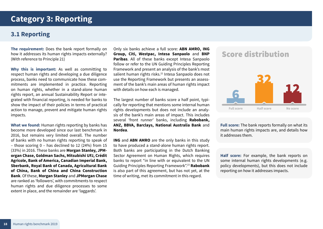### <span id="page-17-0"></span>**Category 3: Reporting**

### **3.1 Reporting**

**The requirement:** Does the bank report formally on how it addresses its human rights impacts externally? (With reference to Principle 21)

**Why this is important:** As well as committing to respect human rights and developing a due diligence process, banks need to communicate how these commitments are implemented in practice. Reporting on human rights, whether in a stand-alone human rights report, an annual Sustainability Report or integrated with financial reporting, is needed for banks to show the impact of their policies in terms of practical action to manage, prevent and mitigate human rights impacts.

**What we found:** Human rights reporting by banks has become more developed since our last benchmark in 2016, but remains very limited overall. The number of banks with no human rights reporting to speak of – those scoring 0 – has declined to 12 (24%) from 15 (33%) in 2016. These banks are **Morgan Stanley, JPMorgan Chase, Goldman Sachs, Mitsubishi UFJ, Crédit Agricole, Bank of America, Canadian Imperial Bank, Sberbank, Royal Bank of Canada, Agricultural Bank of China, Bank of China and China Construction Bank**. Of these, **Morgan Stanley** and **JPMorgan Chase**  are ranked as 'followers', with commitments to respect human rights and due diligence processes to some extent in place, and the remainder are 'laggards'.

Only six banks achieve a full score: **ABN AMRO, ING Group, Citi, Westpac, Intesa Sanpaolo** and **BNP Paribas**. All of these banks except Intesa Sanpaolo follow or refer to the UN Guiding Principles Reporting Framework and present an analysis of the bank's most salient human rights risks.<sup>22</sup> Intesa Sanpaolo does not use the Reporting Framework but presents an assessment of the bank's main areas of human rights impact with details on how each is managed.

The largest number of banks score a half point, typically for reporting that mentions some internal human rights developments but does not include an analysis of the bank's main areas of impact. This includes several 'front runner' banks, including **Rabobank, ANZ, BBVA, Barclays, National Australia Bank** and **Nordea**.

**ING** and **ABN AMRO** are the only banks in this study to have produced a stand-alone human rights report. Both banks are participating in the Dutch Banking Sector Agreement on Human Rights, which requires banks to report "in line with or equivalent to the UN Guiding Principles Reporting Framework".23 **Rabobank** is also part of this agreement, but has not yet, at the time of writing, met its commitment in this regard.

# **Score distribution**



**Full score:** The bank reports formally on what its main human rights impacts are, and details how it addresses them.

**Half score:** For example, the bank reports on some internal human rights developments (e.g. policy developments), but this does not include reporting on how it addresses impacts.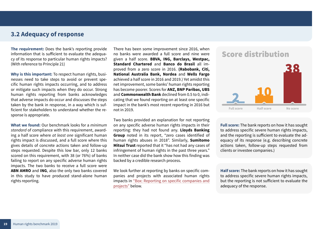#### **3.2 Adequacy of response**

**The requirement:** Does the bank's reporting provide information that is sufficient to evaluate the adequacy of its response to particular human rights impacts? (With reference to Principle 21)

**Why is this important:** To respect human rights, businesses need to take steps to avoid or prevent specific human rights impacts occurring, and to address or mitigate such impacts when they do occur. Strong human rights reporting from banks acknowledges that adverse impacts do occur and discusses the steps taken by the bank in response, in a way which is sufficient for stakeholders to understand whether the response is appropriate.

**What we found:** Our benchmark looks for a *minimum standard* of compliance with this requirement, awarding a half score where *at least one* significant human rights impact is discussed, and a full score where this gives details of concrete actions taken and follow-up steps requested. Despite this low bar, only 12 banks scored on this requirement, with 38 (or 76%) of banks failing to report on any specific adverse human rights impacts. The two banks to receive a full score were **ABN AMRO** and **ING**, also the only two banks covered in this study to have produced stand-alone human rights reporting.

There has been some improvement since 2016, when no banks were awarded a full score and nine were given a half score. **BBVA, ING, Barclays, Westpac, Standard Chartered** and **Banco do Brasil** all improved from a zero score in 2016. **(Rabobank, Citi, National Australia Bank, Nordea** and **Wells Fargo**  achieved a half score in 2016 and 2019.) Yet amidst this net improvement, some banks' human rights reporting has become poorer. Scores for **ANZ, BNP Paribas, UBS**  and **Commonwealth Bank** declined from 0.5 to 0, indicating that we found reporting on at least one specific impact in the bank's most recent reporting in 2016 but not in 2019.

Two banks provided an explanation for not reporting on any specific adverse human rights impacts in their reporting: they had not found any. **Lloyds Banking Group** noted in its report, "zero cases identified of human rights abuses in 2018". Similarly, **Sumitomo Mitsui Trust** reported that it "has not had any cases of infringement of human rights in the past three years." In neither case did the bank show how this finding was backed by a credible research process.

We look further at reporting by banks on specific companies and projects with associated human rights impacts in ["Box: Reporting on specific companies and](#page-20-1) [projects"](#page-20-1) below.

### **Score distribution**



**Full score:** The bank reports on how it has sought to address specific severe human rights impacts, and the reporting is sufficient to evaluate the adequacy of its response (e.g. describing concrete actions taken, follow-up steps requested from clients or investee companies.)

**Half score:** The bank reports on how it has sought to address specific severe human rights impacts, but the reporting is not sufficient to evaluate the adequacy of the response.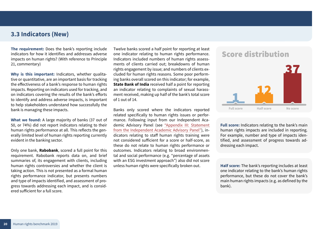#### **3.3 Indicators (New)**

**The requirement:** Does the bank's reporting include indicators for how it identifies and addresses adverse impacts on human rights? (With reference to Principle 21, commentary)

**Why is this important:** Indicators, whether qualitative or quantitative, are an important basis for tracking the effectiveness of a bank's response to human rights impacts. Reporting on indicators used for tracking, and on indicators covering the results of the bank's efforts to identify and address adverse impacts, is important to help stakeholders understand how successfully the bank is managing these impacts.

**What we found:** A large majority of banks (37 out of 50, or 74%) did not report indicators relating to their human rights performance at all. This reflects the generally limited level of human rights reporting currently evident in the banking sector.

Only one bank, **Rabobank**, scored a full point for this requirement. Rabobank reports data on, and brief summaries of, its engagement with clients, including human rights controversies and whether the client is taking action. This is not presented as a formal human rights performance indicator, but presents numbers and type of impacts identified, and assessment of progress towards addressing each impact, and is considered sufficient for a full score.

Twelve banks scored a half point for reporting at least one indicator relating to human rights performance. Indicators included numbers of human rights assessments of clients carried out; breakdowns of human rights engagement by issue; and numbers of clients excluded for human rights reasons. Some poor performing banks overall scored on this indicator; for example, **State Bank of India** received half a point for reporting an indicator relating to complaints of sexual harassment received, making up half of the bank's total score of 1 out of 14.

Banks only scored where the indicators reported related specifically to human rights issues or performance. Following input from our Independent Academic Advisory Panel (see ["Appendix III: Statement](#page-32-1) [from the Independent Academic Advisory Panel"](#page-32-1)), indicators relating to staff human rights training were not considered sufficient for a score or half-score, as these do not relate to human rights performance or outcomes. Indicators relating to broad environmental and social performance (e.g. "percentage of assets with an ESG investment approach") also did not score unless human rights were specifically broken out.

### **Score distribution**



**Full score:** Indicators relating to the bank's main human rights impacts are included in reporting. For example, number and type of impacts identified, and assessment of progress towards addressing each impact.

**Half score:** The bank's reporting includes at least one indicator relating to the bank's human rights performance, but these do not cover the bank's main human rights impacts (e.g. as defined by the bank).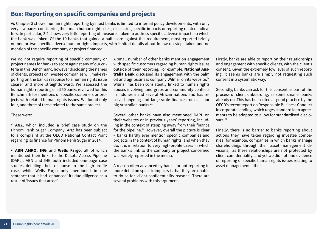#### <span id="page-20-1"></span><span id="page-20-0"></span>**Box: Reporting on specific companies and projects**

As Chapter 3 shows, human rights reporting by most banks is limited to internal policy developments, with only very few banks considering their main human rights risks, discussing specific impacts or reporting related indicators. In particular, 3.2 shows very little reporting of measures taken to address specific adverse impacts to which the bank was linked. Of the 10 banks that gained a half score against this requirement, most reported briefly on one or two specific adverse human rights impacts, with limited details about follow-up steps taken and no mention of the specific company or project financed.

We do not require reporting of specific company or project names for banks to score against any of our criteria in this Benchmark, however disclosing the names of clients, projects or investee companies will make reporting on the bank's response to a human rights issue clearer and more straightforward. We assessed the human rights reporting of all 50 banks reviewed for this Benchmark for mentions of specific customers or projects with related human rights issues. We found only four, and three of these related to the same project.

#### These were:

• **ANZ**, which included a brief case study on the Phnom Penh Sugar Company. ANZ has been subject to a complaint at the OECD National Contact Point regarding its finance for Phnom Penh Sugar in 2014.

• **ABN AMRO, ING** and **Wells Fargo**, all of which mentioned their links to the Dakota Access Pipeline (DAPL). ABN and ING both included one-page case studies detailing their response to the high-profile case, while Wells Fargo only mentioned in one sentence that it had 'enhanced' its due diligence as a result of 'issues that arose'.

A small number of other banks mention engagement with specific customers regarding human rights issues outside of their reporting. For example, **National Australia Bank** discussed its engagement with the palm oil and agribusiness company Wilmar on its website.<sup>24</sup> Wilmar has been consistently linked to human rights abuses involving land grabs and community conflicts in Indonesia and several African nations and has received ongoing and large-scale finance from all four big Australian banks.<sup>25</sup>

Several other banks have also mentioned DAPL on their websites or in previous years' reporting, including in the context of stepping away from their finance for the pipeline.<sup>26</sup> However, overall the picture is clear – banks hardly ever mention specific companies and projects in the context of human rights, and when they do, it is in relation to very high-profile cases in which the bank's link to the company or project concerned was widely reported in the media.

A reason often advanced by banks for not reporting in more detail on specific impacts is that they are unable to do so for 'client confidentiality reasons'. There are several problems with this argument.

Firstly, banks are able to report on their relationships and engagement with specific clients, with the client's consent. Given the extremely low level of such reporting, it seems banks are simply not requesting such consent in a systematic way.

Secondly, banks can ask for this consent as part of the process of client onboarding, as some smaller banks already do. This has been cited as good practice by the OECD's recent report on Responsible Business Conduct in corporate lending, which urges standard loan agreements to be adapted to allow for standardised disclosure.<sup>27</sup>

Finally, there is no barrier to banks reporting about actions they have taken regarding investee companies (for example, companies in which banks manage shareholdings through their asset management divisions), as these relationships are not protected by client confidentiality, and yet we did not find evidence of reporting of specific human rights issues relating to asset management either.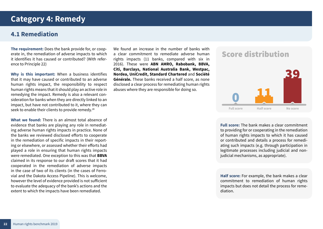### <span id="page-21-0"></span>**Category 4: Remedy**

#### **4.1 Remediation**

**The requirement:** Does the bank provide for, or cooperate in, the remediation of adverse impacts to which it identifies it has caused or contributed? (With reference to Principle 22)

**Why is this important:** When a business identifies that it may have caused or contributed to an adverse human rights impact, the responsibility to respect human rights means that it should play an active role in remedying the impact. Remedy is also a relevant consideration for banks when they are directly linked to an impact, but have not contributed to it, where they can seek to enable their clients to provide remedy.<sup>28</sup>

**What we found:** There is an almost total absence of evidence that banks are playing any role in remediating adverse human rights impacts in practice. None of the banks we reviewed disclosed efforts to cooperate in the remediation of specific impacts in their reporting or elsewhere, or assessed whether their efforts had played a role in ensuring that human rights impacts were remediated. One exception to this was that **BBVA** claimed in its response to our draft scores that it had cooperated in the remediation of adverse impacts in the case of two of its clients (in the cases of Ferrovial and the Dakota Access Pipeline). This is welcome, however the level of evidence provided is not sufficient to evaluate the adequacy of the bank's actions and the extent to which the impacts have been remediated.

We found an increase in the number of banks with a clear commitment to remediate adverse human rights impacts (11 banks, compared with six in 2016). These were **ABN AMRO, Rabobank, BBVA, Citi, Barclays, National Australia Bank, Westpac, Nordea, UniCredit, Standard Chartered** and **Société Générale.** These banks received a half score, as none disclosed a clear process for remediating human rights abuses where they are responsible for doing so.

### **Score distribution**



**Full score:** The bank makes a clear commitment to providing for or cooperating in the remediation of human rights impacts to which it has caused or contributed and details a process for remediating such impacts (e.g. through participation in legitimate processes including judicial and nonjudicial mechanisms, as appropriate).

**Half score:** For example, the bank makes a clear commitment to remediation of human rights impacts but does not detail the process for remediation.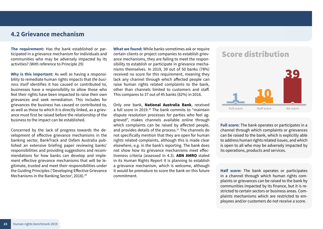#### **4.2 Grievance mechanism**

**The requirement:** Has the bank established or participated in a grievance mechanism for individuals and communities who may be adversely impacted by its activities? (With reference to Principle 29)

**Why is this important:** As well as having a responsibility to remediate human rights impacts that *the business itself* identifies it has caused or contributed to, businesses have a responsibility to allow those who feel their rights have been impacted to raise their own grievances and seek remediation. This includes for grievances the business has caused or contributed to, as well as those to which it is directly linked, as a grievance must first be raised before the relationship of the business to the impact can be established.

Concerned by the lack of progress towards the development of effective grievance mechanisms in the banking sector, BankTrack and Oxfam Australia published an extensive briefing paper reviewing banks' responsibilities and providing suggestions and recommendations for how banks can develop and implement effective grievance mechanisms that will be legitimate, trusted and meet their responsibilities under the Guiding Principles ('Developing Effective Grievance Mechanisms in the Banking Sector', 2018).<sup>29</sup>

**What we found:** While banks sometimes ask or require certain clients or project companies to establish grievance mechanisms, they are failing to meet the responsibility to establish or participate in grievance mechanisms themselves. In 2019, 39 out of 50 banks (78%) received no score for this requirement, meaning they lack any channel through which affected people can raise human rights related complaints to the bank, other than channels limited to customers and staff. This compares to 37 out of 45 banks (82%) in 2016.

Only one bank, **National Australia Bank**, received a full score in 2019.<sup>30</sup> The bank commits to "maintain dispute resolution processes for parties who feel aggrieved", makes channels available online through which complaints can be raised by affected people, and provides details of the process.<sup>31</sup> The channels do not specifically mention that they are open for human rights related complaints, although this is made clear elsewhere, e.g. in the bank's reporting. The bank does not show how its grievance mechanisms meet effectiveness criteria (assessed in 4.3). **ABN AMRO** stated in its Human Rights Report it is planning to establish a grievance mechanism, which is welcome, although it would be premature to score the bank on this future commitment.

### **Score distribution**



**Full score:** The bank operates or participates in a channel through which complaints or grievances can be raised to the bank, which is explicitly able to address human rights related issues, and which is open to all who may be adversely impacted by its operations, products and services.

**Half score:** The bank operates or participates in a channel through which human rights complaints or grievances can be raised to the bank by communities impacted by its finance, but it is restricted to certain sectors or business areas. Complaints mechanisms which are restricted to employees and/or customers do not receive a score.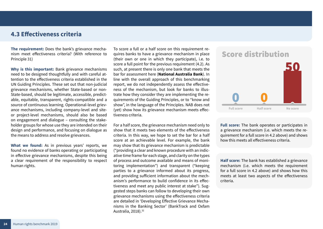#### **4.3 Effectiveness criteria**

**The requirement:** Does the bank's grievance mechanism meet effectiveness criteria? (With reference to Principle 31)

**Why is this important:** Bank grievance mechanisms need to be designed thoughtfully and with careful attention to the effectiveness criteria established in the UN Guiding Principles. These set out that non-judicial grievance mechanisms, whether State-based or non-State-based, should be legitimate, accessible, predictable, equitable, transparent, rights-compatible and a source of continuous learning. Operational-level grievance mechanisms, including company-level and siteor project-level mechanisms, should also be based on engagement and dialogue – consulting the stakeholder groups for whose use they are intended on their design and performance, and focusing on dialogue as the means to address and resolve grievances.

**What we found:** As in previous years' reports, we found no evidence of banks operating or participating in effective grievance mechanisms, despite this being a clear requirement of the responsibility to respect human rights.

To score a full or a half score on this requirement requires banks to have a grievance mechanism in place (their own or one in which they participate), i.e. to score a full point for the previous requirement (4.2). As such, at present there is only one bank that meets the bar for assessment here (**National Australia Bank**). In line with the overall approach of this benchmarking report, we do not independently assess the effectiveness of the mechanism, but look for banks to illustrate how they consider they are implementing the requirements of the Guiding Principles, or to "know and show", in the language of the Principles. NAB does not (yet) show how its grievance mechanism meets effectiveness criteria.

For a half score, the grievance mechanism need only to show that it meets two elements of the effectiveness criteria. In this way, we hope to set the bar for a half score at an achievable level. For example, the bank may show that its grievance mechanism is predictable ("providing a clear and known procedure with an indicative time frame for each stage, and clarity on the types of process and outcome available and means of monitoring implementation") and transparent ("keeping parties to a grievance informed about its progress, and providing sufficient information about the mechanism's performance to build confidence in its effectiveness and meet any public interest at stake"). Suggested steps banks can follow to developing their own grievance mechanisms using the effectiveness criteria are detailed in 'Developing Effective Grievance Mechanisms in the Banking Sector' (BankTrack and Oxfam Australia, 2018).<sup>32</sup>

### **Score distribution**



**Full score:** The bank operates or participates in a grievance mechanism (i.e. which meets the requirement for a full score in 4.2 above) and shows how this meets all effectiveness criteria.

**Half score:** The bank has established a grievance mechanism (i.e. which meets the requirement for a full score in 4.2 above) and shows how this meets at least two aspects of the effectiveness criteria.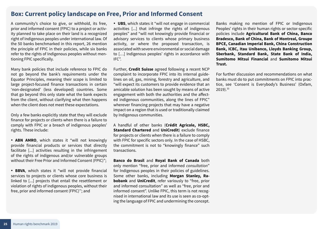#### <span id="page-24-0"></span>**Box: Current policy landscape on Free, Prior and Informed Consent**

A community's choice to give, or withhold, its free, prior and informed consent (FPIC) to a project or activity planned to take place on their land is a recognized right of Indigenous peoples under international law. Of the 50 banks benchmarked in this report, 26 mention the principle of FPIC in their policies, while six banks refer to the rights of Indigenous peoples without mentioning FPIC specifically.

Many bank policies that include reference to FPIC do not go beyond the bank's requirements under the Equator Principles, meaning their scope is limited to large project-focused finance transactions in certain 'non-designated' (less developed) countries. Some that go beyond this only state what the bank expects from the client, without clarifying what then happens when the client does not meet these expectations.

Only a few banks explicitly state that they will exclude finance for projects or clients when there is a failure to comply with FPIC or a breach of indigenous peoples' rights. These include:

• **ABN AMRO**, which states it "will not knowingly provide financial products or services that directly facilitate [...] activities resulting in the infringement of the rights of indigenous and/or vulnerable groups without their Free Prior and Informed Consent (FPIC)";

• **BBVA**, which states it "will not provide financial services to projects or clients whose core business is linked to [...] projects that entail the resettlement or violation of rights of indigenous peoples, without their free, prior and informed consent (FPIC)''; and

• **UBS**, which states it "will not engage in commercial activities [...] that infringe the rights of indigenous peoples" and "will not knowingly provide financial or advisory services to clients whose primary business activity, or where the proposed transaction, is associated with severe environmental or social damage to […] Indigenous peoples' rights in accordance with IFC".

Further, **Credit Suisse** agreed following a recent NCP complaint to incorporate FPIC into its internal guidelines on oil, gas, mining, forestry and agriculture, and "will expect its customers to provide evidence that an amicable solution has been sought by means of active engagement with both the authorities and the affected indigenous communities, along the lines of FPIC" wherever financing projects that may have a negative impact on a region that is used or traditionally claimed by Indigenous communities.

A handful of other banks (**Crédit Agricole, HSBC, Standard Chartered** and **UniCredit**) exclude finance for projects or clients when there is a failure to comply with FPIC for specific sectors only. In the case of HSBC, the commitment is not to "knowingly finance" such transactions.

**Banco do Brasil** and **Royal Bank of Canada** both only mention "free, prior and informed *consultation*" for Indigenous peoples in their policies of guidelines. Some other banks, including **Morgan Stanley, Rabobank** and **UniCredit**, refer variously to "free, prior and informed consultation" as well as "free, prior and informed consent". Unlike FPIC, this term is not recognised in international law and its use is seen as co-opting the language of FPIC and undermining the concept.

Banks making no mention of FPIC or Indigenous Peoples' rights in their human rights or sector-specific policies include **Agricultural Bank of China, Banco Bradesco, Bank of China, Bank of Montreal, Groupe BPCE, Canadian Imperial Bank, China Construction Bank, ICBC, Itau Unibanco, Lloyds Banking Group, Sberbank, Standard Bank, State Bank of India, Sumitomo Mitsui Financial** and **Sumitomo Mitsui Trust.** 

For further discussion and recommendations on what banks must do to put commitments on FPIC into practice, see 'Consent is Everybody's Business' (Oxfam, 2019).33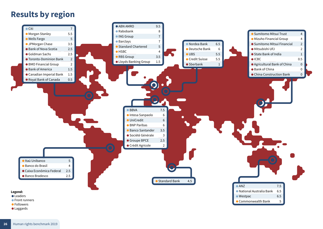# <span id="page-25-0"></span>**Results by region**

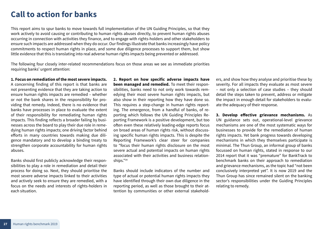# <span id="page-26-0"></span>**Call to action for banks**

This report aims to spur banks to move towards full implementation of the UN Guiding Principles, so that they work actively to avoid causing or contributing to human rights abuses directly, to prevent human rights abuses occurring in connection with activities they finance, and to engage with rights-holders and other stakeholders to ensure such impacts are addressed when they do occur. Our findings illustrate that banks increasingly have policy commitments to respect human rights in place, and some due diligence processes to support them, but show little evidence that this is translating into real adverse human rights impacts being prevented or addressed.

The following four closely inter-related recommendations focus on those areas we see as immediate priorities requiring banks' urgent attention:

#### **1. Focus on remediation of the most severe impacts.**

A concerning finding of this report is that banks are not presenting evidence that they are taking action to ensure human rights impacts are remedied – whether or not the bank shares in the responsibility for providing that remedy. Indeed, there is no evidence that banks have processes in place to evaluate the extent of their responsibility for remediating human rights impacts. This finding reflects a broader failing by businesses across the board to play their due role in remedying human rights impacts; one driving factor behind efforts in many countries towards making due diligence mandatory and to develop a binding treaty to strengthen corporate accountability for human rights abuses.

Banks should first publicly acknowledge their responsibilities to play a role in remediation and detail their process for doing so. Next, they should prioritise the most severe adverse impacts linked to their activities and actively seek to ensure they are remedied, with a focus on the needs and interests of rights-holders in each situation.

**2. Report on how specific adverse impacts have been managed and remedied.** To meet their responsibilities, banks need to not only work towards remedying their most severe human rights impacts, but also show in their reporting how they have done so. This requires a step-change in human rights reporting. The emergence, from a handful of banks, of reporting which follows the UN Guiding Principles Reporting Framework is a positive development, but too often even these relatively leading-edge reports focus on broad areas of human rights risk, without discussing specific human rights impacts. This is despite the Reporting Framework's clear steer for companies to "focus their human rights disclosure on the most severe actual and potential impacts on human rights associated with their activities and business relationships."34

Banks should include indicators of the number and type of actual or potential human rights impacts they have identified through their own due diligence in the reporting period, as well as those brought to their attention by communities or other external stakeholders, and show how they analyse and prioritise these by severity. For all impacts they evaluate as most severe – not only a selection of case studies – they should detail the steps taken to prevent, address or mitigate the impact in enough detail for stakeholders to evaluate the adequacy of their response.

**3. Develop effective grievance mechanisms.** As UN guidance sets out, operational-level grievance mechanisms are one of the most systematic ways for businesses to provide for the remediation of human rights impacts. Yet bank progress towards developing mechanisms in which they themselves participate is minimal. The Thun Group, an informal group of banks focussed on human rights, stated in response to our 2014 report that it was "premature" for BankTrack to benchmark banks on their approach to remediation and grievance mechanisms, as the topic had "not been conclusively interpreted yet". It is now 2019 and the Thun Group has since remained silent on the banking sector's responsibilities under the Guiding Principles relating to remedy.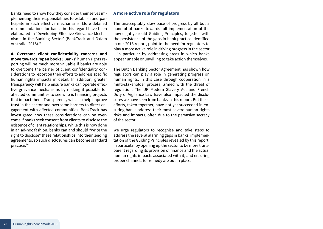Banks need to show how they consider themselves implementing their responsibilities to establish and participate in such effective mechanisms. More detailed recommendations for banks in this regard have been elaborated in 'Developing Effective Grievance Mechanisms in the Banking Sector' (BankTrack and Oxfam Australia, 2018).<sup>35</sup>

**4. Overcome client confidentiality concerns and move towards 'open books'.** Banks' human rights reporting will be much more valuable if banks are able to overcome the barrier of client confidentiality considerations to report on their efforts to address specific human rights impacts in detail. In addition, greater transparency will help ensure banks can operate effective grievance mechanisms by making it possible for affected communities to see who is financing projects that impact them. Transparency will also help improve trust in the sector and overcome barriers to direct engagement with affected communities. BankTrack has investigated how these considerations can be overcome if banks seek consent from clients to disclose the existence of client relationships. While this is now done in an ad-hoc fashion, banks can and should "write the right to disclose" these relationships into their lending agreements, so such disclosures can become standard practice.36

#### **A more active role for regulators**

The unacceptably slow pace of progress by all but a handful of banks towards full implementation of the now-eight-year-old Guiding Principles, together with the persistence of the gaps in bank practice identified in our 2016 report, point to the need for regulators to play a more active role in driving progress in the sector – in particular by addressing areas in which banks appear unable or unwilling to take action themselves.

The Dutch Banking Sector Agreement has shown how regulators can play a role in generating progress on human rights, in this case through cooperation in a multi-stakeholder process, armed with the threat of regulation. The UK Modern Slavery Act and French Duty of Vigilance Law have also impacted the disclosures we have seen from banks in this report. But these efforts, taken together, have not yet succeeded in ensuring banks address their most severe human rights risks and impacts, often due to the pervasive secrecy of the sector.

We urge regulators to recognise and take steps to address the several alarming gaps in banks' implementation of the Guiding Principles revealed by this report, in particular by opening up the sector to be more transparent regarding its provision of finance and the actual human rights impacts associated with it, and ensuring proper channels for remedy are put in place.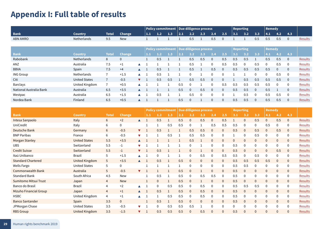# <span id="page-28-0"></span>**Appendix I: Full table of results**

|                         |                      |                |               |                      |                          |     |     | Policy commitment   Due dilligence process |              |          |              |              |                  | <b>Reporting</b> |              | <b>Remedy</b> |          |                |                |
|-------------------------|----------------------|----------------|---------------|----------------------|--------------------------|-----|-----|--------------------------------------------|--------------|----------|--------------|--------------|------------------|------------------|--------------|---------------|----------|----------------|----------------|
| <b>Bank</b>             | <b>Country</b>       | <b>Total</b>   | Change        |                      | 1.1                      | 1.2 | 1.3 | 2.1                                        | 2.2          | 2.3      | 2.4          | 2.5          | 3.1              | 3.2              | 3.3          | 4.1           | 4.2      | 4.3            |                |
| ABN AMRO                | Netherlands          | 9.5            | <b>New</b>    |                      |                          |     |     |                                            | 0.5          |          | 0.5          | $\Omega$     |                  |                  | 0.5          | 0.5           | 0.5      | $\mathbf{0}$   | Results        |
|                         |                      |                |               |                      |                          |     |     |                                            |              |          |              |              |                  |                  |              |               |          |                |                |
|                         |                      |                |               |                      | <b>Policy commitment</b> |     |     | Due dilligence process                     |              |          |              |              | <b>Reporting</b> |                  |              | <b>Remedy</b> |          |                |                |
| <b>Bank</b>             | <b>Country</b>       | <b>Total</b>   | <b>Change</b> |                      | 1.1                      | 1.2 | 1.3 | 2.1                                        | 2.2          | 2.3      | 2.4          | 2.5          | 3.1              | 3.2              | 3.3          | 4.1           | 4.2      | 4.3            |                |
| Rabobank                | Netherlands          | 8              | $\mathbf{0}$  |                      |                          | 0.5 |     |                                            | 0.5          | 0.5      | $\mathbf 0$  | 0.5          | 0.5              | 0.5              |              | 0.5           | 0.5      | $\overline{0}$ | <b>Results</b> |
| ANZ                     | Australia            | 7.5            | $+1$          |                      |                          |     |     |                                            | 0.5          |          | $\Omega$     | 0.5          | 0.5              | 0                | 0.5          | 0             | 0.5      | $\Omega$       | Results        |
| <b>BBVA</b>             | Spain                | 7.5            | $+4$          | $\blacktriangle$ 1   |                          | 0.5 |     |                                            | 0.5          |          | 0.5          | $\Omega$     | 0.5              | 0.5              | 0.5          | 0.5           | $\Omega$ | $\Omega$       | <b>Results</b> |
| <b>ING Group</b>        | Netherlands          | $\overline{7}$ | $+1.5$        | $\blacktriangle$ 1   |                          | 0.5 |     |                                            | 0            |          | $\Omega$     | $\Omega$     |                  |                  | $\Omega$     | $\mathbf 0$   | 0.5      | $\Omega$       | Results        |
| Citi                    | <b>United States</b> | $\overline{7}$ | $-0.5$        | $\blacktriangledown$ |                          | 0.5 | 0.5 |                                            | 0.5          | 0.5      | $\Omega$     | $\Omega$     | -1               | 0.5              | 0.5          | 0.5           | 0.5      | $\Omega$       | <b>Results</b> |
| Barclays                | United Kingdom       | -7             | $+0.5$        |                      |                          |     |     | 0.5                                        | 0            |          | $\mathbf 0$  | 0.5          | 0.5              | 0.5              | 0.5          | 0.5           | $\Omega$ | $\mathbf{0}$   | <b>Results</b> |
| National Australia Bank | Australia            | 6.5            | $+3.5$        | $\blacktriangle$     |                          |     |     | 0.5                                        | $\mathbf{0}$ | 0.5      | $\mathbf{0}$ | $\Omega$     | 0.5              | 0.5              | $\Omega$     | 0.5           |          | $\Omega$       | Results        |
| Westpac                 | Australia            | 6.5            | $+1.5$        |                      |                          | 0.5 |     |                                            | 0.5          | $\Omega$ | 0            | $\Omega$     |                  | 0.5              | $\Omega$     | 0.5           | 0.5      | $\Omega$       | <b>Results</b> |
| Nordea Bank             | Finland              | 6.5            | $+0.5$        |                      |                          |     |     | 0.5                                        | $\mathbf{0}$ |          | $\mathbf{0}$ | $\mathbf{0}$ | 0.5              | 0.5              | $\mathbf{0}$ | 0.5           | 0.5      | $\theta$       | <b>Results</b> |

|                               |                      |                |               |                      | <b>Policy commitment</b> |              |     |     | Due dilligence process |              |              |              | <b>Reporting</b> |              |              | <b>Remedy</b> |              |              |                |
|-------------------------------|----------------------|----------------|---------------|----------------------|--------------------------|--------------|-----|-----|------------------------|--------------|--------------|--------------|------------------|--------------|--------------|---------------|--------------|--------------|----------------|
| <b>Bank</b>                   | <b>Country</b>       | <b>Total</b>   | <b>Change</b> |                      | 1.1                      | 1.2          | 1.3 | 2.1 | 2.2                    | 2.3          | 2.4          | 2.5          | 3.1              | 3.2          | 3.3          | 4.1           | 4.2          | 4.3          |                |
| Intesa Sanpaolo               | Italy                | 6              | $+2$          |                      |                          | 0.5          |     | 0.5 | $\mathbf{0}$           | 0.5          | $\mathbf{0}$ | 0.5          |                  | $\mathbf{0}$ | 0.5          | $\mathbf{0}$  | 0.5          | $\mathbf{0}$ | <b>Results</b> |
| UniCredit                     | Italy                | 6              | $\Omega$      |                      |                          |              | 0.5 | 0.5 | 0                      |              | 0.5          | 0.5          | 0.5              | 0            | 0            | 0.5           | $\Omega$     | $\Omega$     | <b>Results</b> |
| Deutsche Bank                 | Germany              | 6              | $-0.5$        | ▼                    |                          | 0.5          |     |     | 0.5                    | 0.5          | $\mathbf{0}$ | $\mathbf{0}$ | 0.5              | $\mathbf{0}$ | 0.5          | $\mathbf{0}$  | 0.5          | $\mathbf{0}$ | <b>Results</b> |
| <b>BNP Paribas</b>            | France               | 6              | $-0.5$        | v                    |                          |              | 0.5 |     | 0.5                    | 0.5          | 0            | $\Omega$     |                  | 0            | 0.5          | $\mathbf 0$   | 0            | 0            | <b>Results</b> |
| <b>Morgan Stanley</b>         | <b>United States</b> | 5.5            | $+3.5$        | $\blacktriangle$     |                          |              |     |     | 0.5                    |              | $\Omega$     | $\Omega$     | $\Omega$         | $\Omega$     | $\Omega$     | $\mathbf{0}$  | $\mathbf{0}$ | $\mathbf{0}$ | Results        |
| <b>UBS</b>                    | Switzerland          | 5.5            | $-1$          |                      |                          |              |     |     | 0                      |              | $\theta$     | 0            | 0.5              | 0            | 0            | $\mathbf 0$   | $\mathbf 0$  |              | Results        |
| <b>Credit Suisse</b>          | Switzerland          | 5.5            | $-1$          | $\blacktriangledown$ |                          | 0.5          |     |     | $\mathbf{0}$           |              | $\mathbf{0}$ | $\Omega$     | 0.5              | $\mathbf{0}$ | $\mathbf{0}$ | $\mathbf{0}$  | 0.5          | $\mathbf 0$  | <b>Results</b> |
| Itaú Unibanco                 | <b>Brazil</b>        | 5              | $+1.5$        |                      |                          | $\mathbf{0}$ |     |     | 0                      | 0.5          | $\mathbf 0$  | 0.5          | 0.5              | 0            | 0.5          | $\mathbf 0$   | $\mathbf 0$  | 0            | Results        |
| <b>Standard Chartered</b>     | United Kingdom       | 5              | $+3.5$        | $\blacktriangle$     |                          | 0.5          |     | 0.5 | $\mathbf{0}$           | 0            | $\Omega$     | $\mathbf{0}$ | 0.5              | 0.5          | 0.5          | 0.5           | $\Omega$     | $\mathbf{0}$ | <b>Results</b> |
| <b>Wells Fargo</b>            | <b>United States</b> | 5              | $\mathbf 0$   |                      |                          |              |     |     | 0                      | $\mathbf 0$  | $\Omega$     | 0            | 0.5              | 0.5          | $\mathbf{0}$ | 0             | $\mathbf 0$  | $\Omega$     | <b>Results</b> |
| <b>Commonwealth Bank</b>      | Australia            | 5              | $-0.5$        | $\blacktriangledown$ |                          |              |     | 0.5 | $\Omega$               |              | $\mathbf{0}$ | $\mathbf{0}$ | 0.5              | 0            | $\mathbf{0}$ | $\mathbf 0$   | $\mathbf{0}$ | $\mathbf{0}$ | <b>Results</b> |
| <b>Standard Bank</b>          | South Africa         | 4.5            | New           |                      |                          | 0.5          |     | 0.5 | 0                      | 0.5          | 0.5          | $\Omega$     | 0.5              | 0            | $\mathbf 0$  | $\mathbf 0$   | $\mathbf 0$  | 0            | Results        |
| <b>Sumitomo Mitsui Trust</b>  | Japan                | $\overline{4}$ | <b>New</b>    |                      |                          | $\mathbf{0}$ |     | 0.5 | 0                      |              | $\Omega$     | $\mathbf 0$  | 0.5              | 0            | $\mathbf{0}$ | $\mathbf 0$   | $\mathbf 0$  | $\mathbf{0}$ | Results        |
| Banco do Brasil               | <b>Brazil</b>        | 4              | $+2$          |                      |                          | $\Omega$     | 0.5 | 0.5 | 0                      | 0.5          | $\Omega$     | 0            | 0.5              | 0.5          | 0.5          | 0             | $\mathbf 0$  | 0            | Results        |
| <b>Mizuho Financial Group</b> | Japan                | $\overline{4}$ | $+1$          | $\blacktriangle$     |                          | 0.5          |     | 0.5 | 0                      | 0.5          | $\mathbf{0}$ | $\mathbf{0}$ | 0.5              | $\mathbf{0}$ | $\mathbf{0}$ | $\mathbf{0}$  | $\mathbf{0}$ | $\mathbf{0}$ | <b>Results</b> |
| <b>HSBC</b>                   | United Kingdom       | $\overline{4}$ | $+1$          |                      |                          |              | 0.5 | 0.5 | $\Omega$               | 0.5          | $\Omega$     | $\Omega$     | 0.5              | 0            | $\Omega$     | 0             | $\mathbf 0$  | $\Omega$     | <b>Results</b> |
| <b>Banco Santander</b>        | Spain                | 3.5            | $\mathbf{0}$  |                      |                          | 0.5          |     | 0.5 | $\mathbf{0}$           | $\mathbf{0}$ | $\mathbf{0}$ | $\mathbf{0}$ | 0.5              | $\mathbf{0}$ | $\mathbf{0}$ | $\mathbf{0}$  | $\mathbf 0$  | $\mathbf{0}$ | Results        |
| JPMorgan Chase                | <b>United States</b> | 3.5            | $-0.5$        |                      |                          | $\mathbf 0$  | 0.5 | 0.5 | 0.5                    |              |              | $\Omega$     | $\Omega$         | 0            | $\Omega$     | 0             | $\theta$     | $\Omega$     | <b>Results</b> |
| <b>RBS</b> Group              | United Kingdom       | 3.5            | $-1.5$        |                      |                          | 0.5          | 0.5 | 0.5 | $\mathbf{0}$           | 0.5          | $\mathbf{0}$ | $\mathbf{0}$ | 0.5              | 0            | $\mathbf{0}$ | $\mathbf{0}$  | $\mathbf{0}$ | $\Omega$     | <b>Results</b> |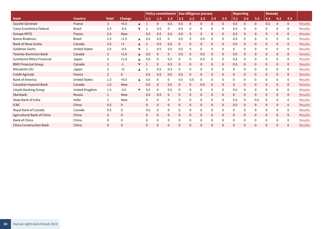|                                |                      |                |               |                      | <b>Policy commitment</b> |              | Due dilligence process |              |             |              |              |              | <b>Reporting</b> |             |                | <b>Remedy</b> |              |              |                |
|--------------------------------|----------------------|----------------|---------------|----------------------|--------------------------|--------------|------------------------|--------------|-------------|--------------|--------------|--------------|------------------|-------------|----------------|---------------|--------------|--------------|----------------|
| <b>Bank</b>                    | Country              | <b>Total</b>   | <b>Change</b> |                      | 1.1                      | 1.2          | 1.3                    | 2.1          | 2.2         | 2.3          | 2.4          | 2.5          | 3.1              | 3.2         | 3.3            | 4.1           | 4.2          | 4.3          |                |
| Société Générale               | France               | 3              | $+0.5$        |                      |                          | $\mathbf{0}$ | 0.5                    | 0.5          | 0           | $\theta$     | $\Omega$     | $\mathbf 0$  | 0.5              | 0           | $\mathbf{0}$   | 0.5           | $\mathbf{0}$ | $\mathbf 0$  | <b>Results</b> |
| Caixa Econômica Federal        | <b>Brazil</b>        | 2.5            | $-0.5$        |                      |                          | 0.5          | 0                      | 0.5          | 0           | $\Omega$     |              | 0            | 0.5              | 0           | $\overline{0}$ |               | $\mathbf{0}$ | $\mathbf 0$  | Results        |
| <b>Groupe BPCE</b>             | France               | 2.5            | <b>New</b>    |                      | 0.5                      | 0.5          | 0.5                    | 0.5          | $\mathbf 0$ | $\mathbf{0}$ | $\Omega$     | $\mathbf 0$  | 0.5              | $\mathbf 0$ | $\mathbf{0}$   | $\mathbf{0}$  | $\mathbf{0}$ | $\mathbf 0$  | Results        |
| <b>Banco Bradesco</b>          | <b>Brazil</b>        | 2.5            | $+1.5$        | ▲                    | 0.5                      | 0.5          | 0                      | 0.5          | $\mathbf 0$ | 0.5          | $\Omega$     | $\mathbf 0$  | 0.5              | 0           | $\mathbf 0$    | $\Omega$      | $\mathbf 0$  | $\mathbf 0$  | <b>Results</b> |
| Bank of Nova Scotia            | Canada               | 2.5            | $+1$          |                      |                          | 0.5          | 0.5                    | $\Omega$     | $\mathbf 0$ | $\mathbf{0}$ | $\Omega$     | $\mathbf 0$  | 0.5              | $\mathbf 0$ | $\mathbf 0$    | $\Omega$      | 0            | $\mathbf 0$  | <b>Results</b> |
| Goldman Sachs                  | <b>United States</b> | 2.5            | $-0.5$        | $\blacksquare$       |                          | 0.5          | 0.5                    | 0.5          | 0           | $\mathbf 0$  | $\Omega$     | 0            | $\mathbf 0$      | 0           | $\mathbf 0$    | $\theta$      | $\mathbf 0$  | $\mathbf 0$  | <b>Results</b> |
| <b>Toronto-Dominion Bank</b>   | Canada               | $\overline{2}$ | $+1.5$        | $\blacktriangle$     | 0.5                      | $\mathbf{0}$ | $\mathbf{0}$           | 0.5          | 0           | 0.5          | $\Omega$     | $\mathbf 0$  | 0.5              | 0           | $\mathbf{0}$   | $\Omega$      | $\mathbf{0}$ | $\mathbf 0$  | Results        |
| Sumitomo Mitsui Financial      | Japan                | $\overline{2}$ | $+1.5$        |                      | 0.5                      | 0            | 0.5                    | 0            | 0           | 0.5          | $\Omega$     | 0            | 0.5              | 0           | 0              | $\Omega$      | 0            | 0            | <b>Results</b> |
| <b>BMO Financial Group</b>     | Canada               | $\overline{2}$ | $-1$          | $\blacktriangledown$ |                          | $\mathbf{0}$ | 0.5                    | 0            | $\mathbf 0$ | $\mathbf{0}$ | $\Omega$     | $\mathbf{0}$ | 0.5              | 0           | $\mathbf{0}$   | $\mathbf{0}$  | $\mathbf{0}$ | $\mathbf 0$  | Results        |
| Mitsubishi UFJ                 | Japan                | $\overline{2}$ | $+2$          |                      |                          | 0.5          | 0.5                    | $\theta$     | 0           | $\mathbf 0$  | $\Omega$     | 0            | $\mathbf{0}$     | 0           | $\mathbf 0$    | $\theta$      | $\mathbf 0$  | $\mathbf 0$  | <b>Results</b> |
| Crédit Agricole                | France               | $\overline{2}$ | $\mathbf{0}$  |                      | 0.5                      | 0.5          | 0.5                    | 0.5          | 0           | $\mathbf{0}$ | $\mathbf{0}$ | $\mathbf{0}$ | $\mathbf{0}$     | 0           | $\mathbf{0}$   | $\mathbf{0}$  | $\mathbf{0}$ | $\mathbf{0}$ | Results        |
| <b>Bank of America</b>         | <b>United States</b> | 1.5            | $+0.5$        |                      | 0.5                      | $\Omega$     | 0                      | 0.5          | 0.5         | $\mathbf 0$  | $\Omega$     | $\mathbf 0$  | $\Omega$         | 0           | $\mathbf 0$    | $\Omega$      | $\Omega$     | 0            | <b>Results</b> |
| Canadian Imperial Bank         | Canada               | 1.5            | <b>New</b>    |                      | 0.5                      | $\mathbf{0}$ | 0.5                    | $\mathbf{0}$ | $\mathbf 0$ | 0.5          | $\mathbf{0}$ | $\mathbf{0}$ | $\mathbf{0}$     | 0           | $\mathbf{0}$   | $\mathbf{0}$  | $\mathbf{0}$ | $\mathbf{0}$ | <b>Results</b> |
| Lloyds Banking Group           | United Kingdom       | 1.5            | $-0.5$        |                      | 0.5                      | $\mathbf 0$  | 0.5                    | $\Omega$     | 0           | $\mathbf{0}$ | $\Omega$     | 0            | 0.5              | $\mathbf 0$ | $\mathbf 0$    | $\Omega$      | 0            | 0            | Results        |
| Sberbank                       | Russia               |                | <b>New</b>    |                      | 0.5                      | 0.5          | 0                      | $\mathbf 0$  | 0           | $\mathbf{0}$ | $\mathbf 0$  | $\mathbf 0$  | $\mathbf{0}$     | 0           | $\mathbf{0}$   | $\mathbf{0}$  | $\mathbf{0}$ | $\mathbf 0$  | <b>Results</b> |
| State Bank of India            | India                |                | <b>New</b>    |                      | $\Omega$                 | 0            | 0                      | 0            | 0           | $\Omega$     | $\Omega$     | $\mathbf 0$  | 0.5              | 0           | 0.5            | $\Omega$      | 0            | 0            | <b>Results</b> |
| <b>ICBC</b>                    | China                | 0.5            | $\mathbf 0$   |                      | $\mathbf 0$              | $\mathbf 0$  | 0                      | $\mathbf 0$  | $\mathbf 0$ | $\mathbf 0$  | $\mathbf{0}$ | $\mathbf 0$  | 0.5              | $\mathbf 0$ | $\mathbf 0$    | $\mathbf{0}$  | $\mathbf 0$  | $\mathbf 0$  | Results        |
| Royal Bank of Canada           | Canada               | 0.5            | $\mathbf 0$   |                      | 0.5                      | $\mathbf 0$  | 0                      |              | 0           | $\mathbf{0}$ | $\Omega$     | $\mathbf 0$  | 0                | 0           | $\mathbf 0$    | $\theta$      | $\mathbf 0$  | 0            | <b>Results</b> |
| Agricultural Bank of China     | China                | $\overline{0}$ | $\mathbf 0$   |                      | $\mathbf{0}$             | $\mathbf{0}$ | $\mathbf{0}$           | $\mathbf 0$  | 0           | $\mathbf{0}$ | $\mathbf{0}$ | $\mathbf{0}$ | $\mathbf{0}$     | 0           | $\mathbf{0}$   | $\mathbf{0}$  | $\mathbf{0}$ | $\mathbf 0$  | Results        |
| Bank of China                  | China                | 0              | $\Omega$      |                      |                          | $\mathbf 0$  | 0                      | 0            | 0           | $\mathbf{0}$ | $\Omega$     | $\mathbf 0$  | $\mathbf 0$      | 0           | $\mathbf 0$    | $\Omega$      | 0            | $\mathbf 0$  | Results        |
| <b>China Construction Bank</b> | China                | $\Omega$       | $\Omega$      |                      | $\Omega$                 | $\Omega$     | $\Omega$               | $\Omega$     | $\Omega$    | $\Omega$     | $\Omega$     | $\Omega$     | $\Omega$         | $\Omega$    | $\Omega$       | $\Omega$      | $\Omega$     | $\Omega$     | <b>Results</b> |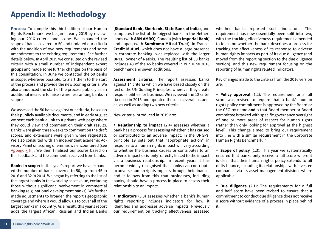# <span id="page-30-1"></span><span id="page-30-0"></span>**Appendix II: Methodology**

**Process:** To compile this third edition of our Human Rights Benchmark, we began in early 2019 by reviewing our 2016 criteria and scope. We expanded the scope of banks covered to 50 and updated our criteria with the addition of two new requirements and some amendments to the existing requirements. See further details below. In April 2019 we consulted on the revised criteria with a small number of independent expert groups and made some further changes on the basis of this consultation. In June we contacted the 50 banks in scope, wherever possible, to alert them to the start of the process and provide the new scoring criteria. We also announced the start of the process publicly as an additional measure to raise awareness among banks in scope.<sup>37</sup>

We assessed the 50 banks against our criteria, based on their publicly available documents, and in early August we sent each bank a link to a private web page where they could view and comment on their draft results. Banks were given three weeks to comment on the draft scores, and extensions were given where requested. We also consulted with an independent academic Advisory Panel on scoring dilemmas we encountered (see [Appendix III\)](#page-32-1). We then finalised our scores based on this feedback and the comments received from banks.

**Banks in scope:** In this year's report we have expanded the number of banks covered to 50, up from 45 in 2016 and 32 in 2014. We began by referring to the list of the largest banks in the world by asset value, excluding those without significant involvement in commercial banking (e.g. national development banks). We further made adjustments to broaden the report's geographic coverage and where it would allow us to cover all of the largest banks in a country. As a result, this year's report adds the largest African, Russian and Indian Banks (**Standard Bank, Sberbank, State Bank of India**), and completes the list of the biggest banks in the Netherlands (with **ABN AMRO**), Canada (with **Imperial Bank**) and Japan (with **Sumitomo Mitsui Trust**). In France, **Credit Mutuel**, which does not have a large presence in corporate banking, was replaced with the larger **BPCE**, owner of Natixis. The resulting list of 50 banks includes 43 of the 45 banks covered in our June 2016 benchmark and seven additions.

**Assessment criteria:** The report assesses banks against 14 criteria which we have based closely on the text of the UN Guiding Principles, wherever they create responsibilities for business. We reviewed the 12 criteria used in 2016 and updated these in several instances, as well as adding two new criteria.

New criteria introduced in 2019 are:

• **Relationship to impact** (2.4) assesses whether a bank has a process for assessing whether it has caused or contributed to an adverse impact. In the UNGPs, principle 19 sets out that "appropriate action" in response to a human rights impact will vary according to whether the business causes or contributes to an adverse impact or is 'only' directly linked to the impact via a business relationship. In recent years it has become widely recognised that banks can contribute to adverse human rights impacts through their finance, and it follows from this that businesses, including banks, should have a process in place to assess their relationship to an impact.

• **Indicators** (3.3) assesses whether a bank's human rights reporting includes indicators for how it identifies and addresses adverse impacts. Previously our requirement on tracking effectiveness assessed

whether banks reported such indicators. This requirement has now essentially been split into two, with the tracking effectiveness requirement amended to focus on whether the bank describes a process for tracking the effectiveness of its response to adverse human rights impacts as part of its due diligence (and moved from the reporting section to the due diligence section), and this new requirement focusing on the reporting of human rights related indicators.

Key changes made to the criteria from the 2016 version are:

• **Policy approval** (1.2): The requirement for a full score was revised to require that a bank's human rights policy commitment is approved by the Board or the CEO by name **and** a that Board member or Board committee is tasked with specific governance oversight of one or more areas of respect for human rights (rather than only looking for approval at the highest level). This change aimed to bring our requirement into line with a similar requirement in the Corporate Human Rights Benchmark.<sup>38</sup>

• **Scope of policy** (1.3): This year we systematically ensured that banks only receive a full score where it is clear that their human rights policy extends to all of its finance, including its relationships with investee companies via its asset management division, where applicable.

• **Due diligence** (2.1): The requirements for a full and half score have been revised to ensure that a commitment to conduct due diligence does not receive a score without evidence of a process in place behind it.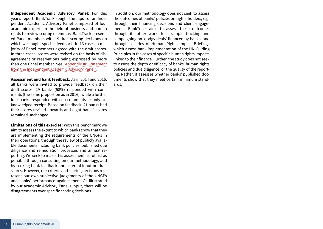**Independent Academic Advisory Panel:** For this year's report, BankTrack sought the input of an Independent Academic Advisory Panel composed of four academic experts in the field of business and human rights to review scoring dilemmas. BankTrack presented Panel members with 19 draft scoring decisions on which we sought specific feedback. In 16 cases, a majority of Panel members agreed with the draft scores. In three cases, scores were revised on the basis of disagreement or reservations being expressed by more than one Panel member. See ["Appendix III: Statement](#page-32-1)  [from the Independent Academic Advisory Panel"](#page-32-1).

**Assessment and bank feedback:** As in 2014 and 2016, all banks were invited to provide feedback on their draft scores. 29 banks (58%) responded with comments (the same proportion as in 2016), while a further four banks responded with no comments or only acknowledged receipt. Based on feedback, 21 banks had their scores revised upwards and eight banks' scores remained unchanged.

**Limitations of this exercise:** With this benchmark we aim to assess the extent to which banks show that they are implementing the requirements of the UNGPs in their operations, through the review of publicly available documents including bank policies, published due diligence and remediation processes and annual reporting. We seek to make this assessment as robust as possible through consulting on our methodology, and by seeking bank feedback and external input on draft scores. However, our criteria and scoring decisions represent our own subjective judgements of the UNGPs and banks' performance against them. As illustrated by our academic Advisory Panel's input, there will be disagreements over specific scoring decisions.

In addition, our methodology does not seek to assess the outcomes of banks' policies on rights-holders, e.g. through their financing decisions and client engagements. BankTrack aims to assess these outcomes through its other work, for example tracking and campaigning on 'dodgy deals' financed by banks, and through a series of Human Rights Impact Briefings which assess bank implementation of the UN Guiding Principles in the cases of specific human rights impacts linked to their finance. Further, the study does not seek to assess the depth or efficacy of banks' human rights policies and due diligence, or the quality of the reporting. Rather, it assesses whether banks' published documents show that they meet certain minimum standards.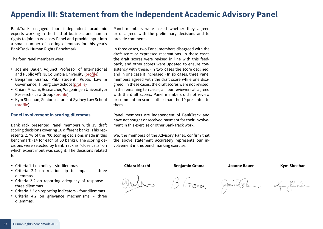# <span id="page-32-1"></span><span id="page-32-0"></span>**Appendix III: Statement from the Independent Academic Advisory Panel**

BankTrack engaged four independent academic experts working in the field of business and human rights to join an Advisory Panel and provide input into a small number of scoring dilemmas for this year's BankTrack Human Rights Benchmark.

The four Panel members were:

- Joanne Bauer, Adjunct Professor of International and Public Affairs, Columbia University [\(profile](https://sipa.columbia.edu/faculty-research/faculty-directory/joanne-bauer))
- • Benjamin Grama, PhD student, Public Law & Governance, Tilburg Law School ([profile](https://research.tilburguniversity.edu/en/persons/ben-grama))
- • Chiara Macchi, Researcher, Wageningen University & Research - Law Group ([profile](https://www.wur.nl/en/project/Business-Human-Rights-in-European-Union-policies.htm))
- Kym Sheehan, Senior Lecturer at Sydney Law School ([profile](https://sydney.edu.au/law/about/our-people/academic-staff/kym-sheehan.html#collapseprofileprojects))

#### **Panel involvement in scoring dilemmas**

BankTrack presented Panel members with 19 draft scoring decisions covering 16 different banks. This represents 2.7% of the 700 scoring decisions made in this benchmark (14 for each of 50 banks). The scoring decisions were selected by BankTrack as "close calls" on which expert input was sought. The decisions related to:

- Criteria 1.1 on policy six dilemmas
- Criteria 2.4 on relationship to impact three dilemmas
- • Criteria 3.2 on reporting adequacy of response three dilemmas
- Criteria 3.3 on reporting indicators four dilemmas
- • Criteria 4.2 on grievance mechanisms three dilemmas.

Panel members were asked whether they agreed or disagreed with the preliminary decisions and to provide comments.

In three cases, two Panel members disagreed with the draft score or expressed reservations. In these cases the draft scores were revised in line with this feedback, and other scores were updated to ensure consistency with these. (In two cases the score declined, and in one case it increased.) In six cases, three Panel members agreed with the draft score while one disagreed. In these cases, the draft scores were not revised. In the remaining ten cases, all four reviewers all agreed with the draft scores. Panel members did not review or comment on scores other than the 19 presented to them.

Panel members are independent of BankTrack and have not sought or received payment for their involvement in this exercise or other BankTrack work.

We, the members of the Advisory Panel, confirm that the above statement accurately represents our involvement in this benchmarking exercise.

#### **Chiara Macchi Benjamin Grama Joanne Bauer Kym Sheehan**





Joanne Br

 $\alpha$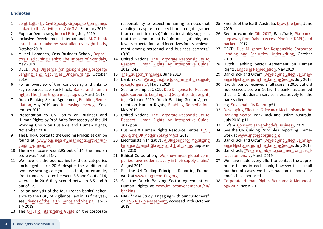#### **Endnotes**

- 1 [Joint Letter by Civil Society Groups to Companies](https://www.fdcl.org/wp-content/uploads/2019/02/Letter-Vale-business-partners.pdf)  [Linked to the Activities of Vale S.A.,](https://www.fdcl.org/wp-content/uploads/2019/02/Letter-Vale-business-partners.pdf) February 2019
- 2 Popular Democracy, [Impact Brief,](https://populardemocracy.org/sites/default/files/2019%20Impact%20Brief%20-%20Wall%20Street%20Banks%20Sever%20Ties%20with%20Private%20Prisons%20ITPI%20PAI%20CPD%20July%202019%20FINAL.pdf) July 2019
- 3 Inclusive Development International, [ANZ bank](https://www.inclusivedevelopment.net/anz-issued-rare-rebuke-by-australian-oversight-body/)  [issued rare rebuke by Australian oversight body](https://www.inclusivedevelopment.net/anz-issued-rare-rebuke-by-australian-oversight-body/), October 2018
- 4 Mikael Homanen, Cass Business School, [Deposi](https://www.banktrack.org/blog/depositors_disciplining_banks_the_impact_of_scandals)[tors Disciplining Banks: The Impact of Scandals](https://www.banktrack.org/blog/depositors_disciplining_banks_the_impact_of_scandals), May 2018
- 5 OECD, [Due Diligence for Responsible Corporate](https://mneguidelines.oecd.org/rbc-financial-sector.htm)  [Lending and Securities Underwriting](https://mneguidelines.oecd.org/rbc-financial-sector.htm), October 2019
- 6 For an overview of the controversy and links to key resources see BankTrack, [Banks and human](https://www.banktrack.org/blog/banks_and_human_rights_the_thun_group_must_step_up)  [rights: The Thun Group must step up](https://www.banktrack.org/blog/banks_and_human_rights_the_thun_group_must_step_up), March 2018
- 7 Dutch Banking Sector Agreement, [Enabling Reme](https://www.imvoconvenanten.nl/-/media/imvo/files/banking/paper-enabling-remediation.pdf)[diation](https://www.imvoconvenanten.nl/-/media/imvo/files/banking/paper-enabling-remediation.pdf), May 2019; and [Increasing Leverage,](https://www.imvoconvenanten.nl/-/media/imvo/files/banking/news/increasing-leverage-2.pdf?la=en&hash=A0EE13BE657DF2409A944327C27858E6) September 2019
- 8 Presentation to UN Forum on Business and Human Rights by Prof. Anita Ramasastry of the UN Working Group on Busienss and Human Rights, November 2018
- 9 The BHRRC portal to the Guiding Principles can be found at: [www.business-humanrights.org/en/un](http://www.business-humanrights.org/en/un-guiding-principles)[guiding-principles](http://www.business-humanrights.org/en/un-guiding-principles)
- 10 The mean score was 3.95 out of 14; the median score was 4 out of 14.
- 11 We have left the boundaries for these categories unchanged since 2016 despite the addition of two new scoring categories, so that, for example, 'front runners' scored between 6.5 and 9 out of 14, whereas in 2016 they scored between 6.5 and 9 out of 12.
- 12 For an analysis of the four French banks' adherence to the Duty of Vigilance Law in its first year, see [Friends of the Earth France and Sherpa](https://www.amisdelaterre.org/IMG/pdf/2019_collective_report_-_duty_of_vigilance_year_1.pdf), February 2019
- 13 The [OHCHR Interpretive Guide](https://www.ohchr.org/Documents/Publications/HR.PUB.12.2_En.pdf) on the corporate

responsibility to respect human rights notes that a policy to aspire to respect human rights (rather than commit to do so) "almost inevitably suggests that the commitment is fluid or negotiable, and lowers expectations and incentives for its achievement among personnel and business partners." (Q20)

- 14 United Nations, [The Corporate Responsibility to](https://www.ohchr.org/Documents/Publications/HR.PUB.12.2_En.pdf) [Respect Human Rights, An Interpretive Guide](https://www.ohchr.org/Documents/Publications/HR.PUB.12.2_En.pdf), 2012, Q42
- 15 [The Equator Principles](https://equator-principles.com./wp-content/uploads/2017/03/equator_principles_III.pdf), June 2013
- 16 BankTrack, ["We are unable to comment on specif](https://www.banktrack.org/download/we_are_unable_to_comment_on_specific_clients/190326clientconfidentiality.pdf)[ic customers…"](https://www.banktrack.org/download/we_are_unable_to_comment_on_specific_clients/190326clientconfidentiality.pdf), March 2019
- 17 See for example: OECD, [Due Diligence for Respon](https://mneguidelines.oecd.org/rbc-financial-sector.htm)[sible Corporate Lending and Securities Underwrit](https://mneguidelines.oecd.org/rbc-financial-sector.htm)[ing](https://mneguidelines.oecd.org/rbc-financial-sector.htm), October 2019; Dutch Banking Sector Agreement on Human Rights, [Enabling Remediation](https://www.imvoconvenanten.nl/-/media/imvo/files/banking/paper-enabling-remediation.pdf), May 2019
- 18 United Nations, [The Corporate Responsibility to](https://www.ohchr.org/Documents/Publications/HR.PUB.12.2_En.pdf) [Respect Human Rights, An Interpretive Guide](https://www.ohchr.org/Documents/Publications/HR.PUB.12.2_En.pdf), 2012 p54
- 19 Business & Human Rights Resource Centre, [FTSE](https://www.business-humanrights.org/sites/default/files/FTSE%20100%20Briefing%202018.pdf) [100 & the UK Modern Slavery Act,](https://www.business-humanrights.org/sites/default/files/FTSE%20100%20Briefing%202018.pdf) 2018
- 20 Liechtenstein Initiative, [A Blueprint for Mobilizing](https://www.fastinitiative.org/wp-content/uploads/Blueprint-DIGITAL-3.pdf) [Finance Against Slavery and Trafficking,](https://www.fastinitiative.org/wp-content/uploads/Blueprint-DIGITAL-3.pdf) September 2019
- 21 Ethical Corporation, '[We know most global com](http://ethicalcorp.com/we-know-most-global-companies-have-modern-slavery-their-supply-chains#.XUxEml4Jm-o.twitter)[panies have modern slavery in their supply chains'](http://ethicalcorp.com/we-know-most-global-companies-have-modern-slavery-their-supply-chains#.XUxEml4Jm-o.twitter), August 2019
- 22 See the UN Guiding Principles Reporting Framework at [www.ungpreporting.org](http://www.ungpreporting.org/)
- 23 See the Dutch Banking Sector Agreement on Human Rights at [www.imvoconvenanten.nl/en/](http://www.imvoconvenanten.nl/en/banking) [banking](http://www.imvoconvenanten.nl/en/banking)
- 24 NAB, "Case Study: Engaging with our customers", on [ESG Risk Management,](https://www.nab.com.au/about-us/social-impact/shareholders/esg-risk-management) accessed 29th October 2019
- 25 Friends of the Earth Australia, [Draw the Line](https://d3n8a8pro7vhmx.cloudfront.net/foe/pages/113/attachments/original/1561504105/foe-draw-the-line-australia.pdf?1561504105), June 2019
- 26 See for example [Citi, 2017](https://www.citigroup.com/citi/about/citizenship/download/2017/2017_citi_global_citizenship_report.pdf); BankTrack, [Six banks](https://www.banktrack.org/article/three_banks_step_away_from_dakota_access_pipeline_backers_v)  [step away from Dakota Access Pipeline \(DAPL\) and](https://www.banktrack.org/article/three_banks_step_away_from_dakota_access_pipeline_backers_v)  [backers](https://www.banktrack.org/article/three_banks_step_away_from_dakota_access_pipeline_backers_v), 2017.
- 27 OECD, [Due Diligence for Responsible Corporate](https://mneguidelines.oecd.org/rbc-financial-sector.htm)  [Lending and Securities Underwriting](https://mneguidelines.oecd.org/rbc-financial-sector.htm), October 2019
- 28 Dutch Banking Sector Agreement on Human Rights, [Enabling Remediation](https://www.imvoconvenanten.nl/-/media/imvo/files/banking/paper-enabling-remediation.pdf), May 2019
- 29 BankTrack and Oxfam, [Developing Effective Griev](https://www.banktrack.org/download/developing_effective_grievance_mechanisms_in_the_banking_sector/2018_pa_002_bank_report_faweb2_3.pdf)[ance Mechanisms in the Banking Sector,](https://www.banktrack.org/download/developing_effective_grievance_mechanisms_in_the_banking_sector/2018_pa_002_bank_report_faweb2_3.pdf) July 2018
- 30 Itau Unibanco received a full score in 2016 but did not receive a score in 2019. The bank has clarified that its Ombudsman service is exclusively for the bank's clients.
- 31 e.g. [Sustainability Report](https://www.nab.com.au/content/dam/nabrwd/documents/reports/corporate/sustainability-report-2018.pdf) p51
- 32 [Developing Effective Grievance Mechanisms in the](https://www.banktrack.org/download/developing_effective_grievance_mechanisms_in_the_banking_sector/2018_pa_002_bank_report_faweb2_3.pdf)  [Banking Sector](https://www.banktrack.org/download/developing_effective_grievance_mechanisms_in_the_banking_sector/2018_pa_002_bank_report_faweb2_3.pdf), BankTrack and Oxfam Australia, July 2018, p11
- 33 Oxfam, [Consent is Everybody's Business](https://oxfamilibrary.openrepository.com/handle/10546/620854), 2019
- 34 See the UN Guiding Principles Reporting Framework at [www.ungpreporting.org](http://www.ungpreporting.org)
- 35 BankTrack and Oxfam, [Developing Effective Griev](https://www.banktrack.org/download/developing_effective_grievance_mechanisms_in_the_banking_sector/2018_pa_002_bank_report_faweb2_3.pdf)[ance Mechanisms in the Banking Sector,](https://www.banktrack.org/download/developing_effective_grievance_mechanisms_in_the_banking_sector/2018_pa_002_bank_report_faweb2_3.pdf) July 2018
- 36 BankTrack, ["We are unable to comment on specif](https://www.banktrack.org/download/we_are_unable_to_comment_on_specific_clients/190326clientconfidentiality.pdf)[ic customers…](https://www.banktrack.org/download/we_are_unable_to_comment_on_specific_clients/190326clientconfidentiality.pdf)", March 2019
- 37 We have made every effort to contact the appropriate teams in each bank, however in a small number of cases we have had no response or emails have bounced.
- 38 [Corporate Human Rights Benchmark Methodol](https://www.corporatebenchmark.org/sites/default/files/CHRB%202019%20Methodology%20AGAPEX%2016Jan19.pdf)[ogy 2019,](https://www.corporatebenchmark.org/sites/default/files/CHRB%202019%20Methodology%20AGAPEX%2016Jan19.pdf) see A.2.1